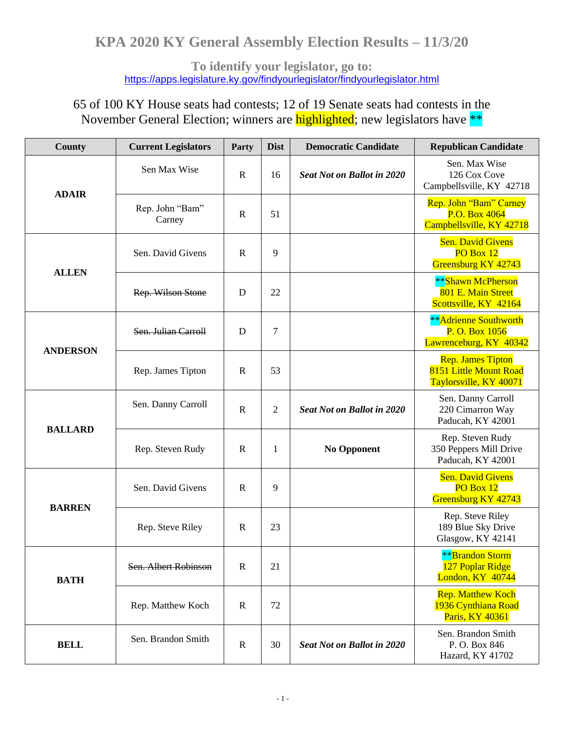**To identify your legislator, go to:**  <https://apps.legislature.ky.gov/findyourlegislator/findyourlegislator.html>

65 of 100 KY House seats had contests; 12 of 19 Senate seats had contests in the November General Election; winners are **highlighted**; new legislators have \*\*

| <b>County</b>   | <b>Current Legislators</b> | Party        | <b>Dist</b>    | <b>Democratic Candidate</b>       | <b>Republican Candidate</b>                                                  |
|-----------------|----------------------------|--------------|----------------|-----------------------------------|------------------------------------------------------------------------------|
| <b>ADAIR</b>    | Sen Max Wise               | $\mathbb{R}$ | 16             | <b>Seat Not on Ballot in 2020</b> | Sen. Max Wise<br>126 Cox Cove<br>Campbellsville, KY 42718                    |
|                 | Rep. John "Bam"<br>Carney  | $\mathbb{R}$ | 51             |                                   | Rep. John "Bam" Carney<br>P.O. Box 4064<br>Campbellsville, KY 42718          |
| <b>ALLEN</b>    | Sen. David Givens          | $\mathbb{R}$ | 9              |                                   | <b>Sen. David Givens</b><br>PO Box 12<br>Greensburg KY 42743                 |
|                 | Rep. Wilson Stone          | D            | 22             |                                   | **Shawn McPherson<br>801 E. Main Street<br>Scottsville, KY 42164             |
| <b>ANDERSON</b> | Sen. Julian Carroll        | D            | $\tau$         |                                   | <b>**</b> Adrienne Southworth<br>P. O. Box 1056<br>Lawrenceburg, KY 40342    |
|                 | Rep. James Tipton          | $\mathbf R$  | 53             |                                   | <b>Rep. James Tipton</b><br>8151 Little Mount Road<br>Taylorsville, KY 40071 |
| <b>BALLARD</b>  | Sen. Danny Carroll         | $\mathbf R$  | $\mathfrak{2}$ | <b>Seat Not on Ballot in 2020</b> | Sen. Danny Carroll<br>220 Cimarron Way<br>Paducah, KY 42001                  |
|                 | Rep. Steven Rudy           | $\mathbf R$  | 1              | <b>No Opponent</b>                | Rep. Steven Rudy<br>350 Peppers Mill Drive<br>Paducah, KY 42001              |
| <b>BARREN</b>   | Sen. David Givens          | $\mathbb{R}$ | 9              |                                   | <b>Sen. David Givens</b><br>PO Box 12<br>Greensburg KY 42743                 |
|                 | Rep. Steve Riley           | ${\bf R}$    | 23             |                                   | Rep. Steve Riley<br>189 Blue Sky Drive<br>Glasgow, KY 42141                  |
| <b>BATH</b>     | Sen. Albert Robinson       | $\mathbf R$  | 21             |                                   | <b>**</b> Brandon Storm<br>127 Poplar Ridge<br>London, KY 40744              |
|                 | Rep. Matthew Koch          | $\mathbb{R}$ | 72             |                                   | <b>Rep. Matthew Koch</b><br>1936 Cynthiana Road<br>Paris, KY 40361           |
| <b>BELL</b>     | Sen. Brandon Smith         | $\mathbf R$  | 30             | <b>Seat Not on Ballot in 2020</b> | Sen. Brandon Smith<br>P.O. Box 846<br>Hazard, KY 41702                       |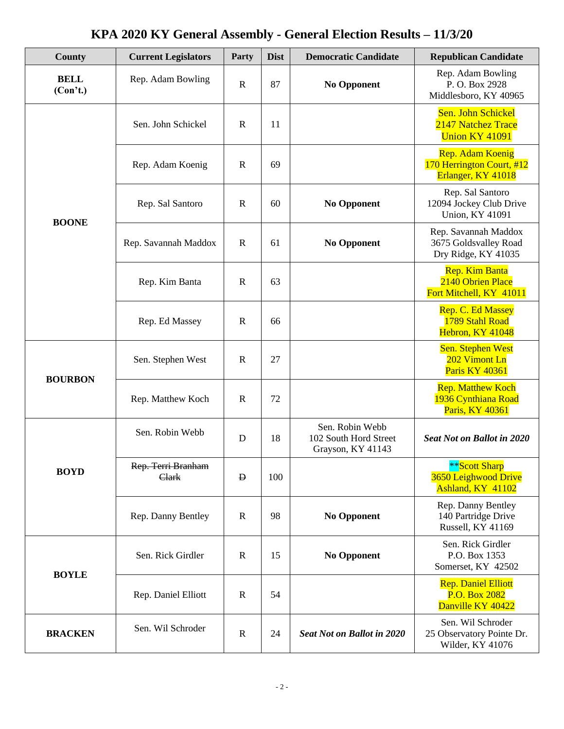| <b>County</b>           | <b>Current Legislators</b>  | Party        | <b>Dist</b> | <b>Democratic Candidate</b>                                   | <b>Republican Candidate</b>                                                |
|-------------------------|-----------------------------|--------------|-------------|---------------------------------------------------------------|----------------------------------------------------------------------------|
| <b>BELL</b><br>(Con't.) | Rep. Adam Bowling           | $\mathbf R$  | 87          | <b>No Opponent</b>                                            | Rep. Adam Bowling<br>P.O. Box 2928<br>Middlesboro, KY 40965                |
|                         | Sen. John Schickel          | $\mathbf R$  | 11          |                                                               | Sen. John Schickel<br>2147 Natchez Trace<br><b>Union KY 41091</b>          |
|                         | Rep. Adam Koenig            | $\mathbb{R}$ | 69          |                                                               | <b>Rep. Adam Koenig</b><br>170 Herrington Court, #12<br>Erlanger, KY 41018 |
| <b>BOONE</b>            | Rep. Sal Santoro            | $\mathbf R$  | 60          | <b>No Opponent</b>                                            | Rep. Sal Santoro<br>12094 Jockey Club Drive<br><b>Union, KY 41091</b>      |
|                         | Rep. Savannah Maddox        | $\mathbf R$  | 61          | <b>No Opponent</b>                                            | Rep. Savannah Maddox<br>3675 Goldsvalley Road<br>Dry Ridge, KY 41035       |
|                         | Rep. Kim Banta              | $\mathbf R$  | 63          |                                                               | Rep. Kim Banta<br>2140 Obrien Place<br>Fort Mitchell, KY 41011             |
|                         | Rep. Ed Massey              | $\mathbf R$  | 66          |                                                               | Rep. C. Ed Massey<br>1789 Stahl Road<br>Hebron, KY 41048                   |
| <b>BOURBON</b>          | Sen. Stephen West           | $\mathbf R$  | 27          |                                                               | Sen. Stephen West<br>202 Vimont Ln<br>Paris KY 40361                       |
|                         | Rep. Matthew Koch           | $\mathbf R$  | 72          |                                                               | <b>Rep. Matthew Koch</b><br>1936 Cynthiana Road<br>Paris, KY 40361         |
|                         | Sen. Robin Webb             | D            | 18          | Sen. Robin Webb<br>102 South Hord Street<br>Grayson, KY 41143 | <b>Seat Not on Ballot in 2020</b>                                          |
| <b>BOYD</b>             | Rep. Terri Branham<br>Clark | $\mathbf{D}$ | 100         |                                                               | **Scott Sharp<br>3650 Leighwood Drive<br>Ashland, KY 41102                 |
|                         | Rep. Danny Bentley          | $\mathbf R$  | 98          | <b>No Opponent</b>                                            | Rep. Danny Bentley<br>140 Partridge Drive<br>Russell, KY 41169             |
| <b>BOYLE</b>            | Sen. Rick Girdler           | $\mathbf R$  | 15          | <b>No Opponent</b>                                            | Sen. Rick Girdler<br>P.O. Box 1353<br>Somerset, KY 42502                   |
|                         | Rep. Daniel Elliott         | $\mathbf R$  | 54          |                                                               | <b>Rep. Daniel Elliott</b><br>P.O. Box 2082<br>Danville KY 40422           |
| <b>BRACKEN</b>          | Sen. Wil Schroder           | $\mathbf R$  | 24          | <b>Seat Not on Ballot in 2020</b>                             | Sen. Wil Schroder<br>25 Observatory Pointe Dr.<br>Wilder, KY 41076         |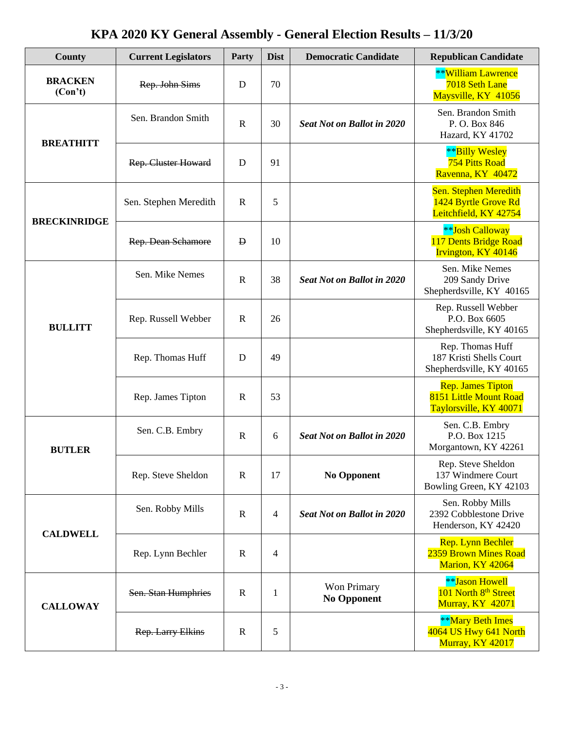| County                    | <b>Current Legislators</b> | Party          | <b>Dist</b>                       | <b>Democratic Candidate</b>                                                                                                              | <b>Republican Candidate</b>                                                  |
|---------------------------|----------------------------|----------------|-----------------------------------|------------------------------------------------------------------------------------------------------------------------------------------|------------------------------------------------------------------------------|
| <b>BRACKEN</b><br>(Con't) | Rep. John Sims             | D              | 70                                |                                                                                                                                          | <b>**William Lawrence</b><br>7018 Seth Lane<br>Maysville, KY 41056           |
| <b>BREATHITT</b>          | Sen. Brandon Smith         | $\mathbf R$    | 30                                | <b>Seat Not on Ballot in 2020</b>                                                                                                        | Sen. Brandon Smith<br>P.O. Box 846<br>Hazard, KY 41702                       |
|                           | <b>Rep. Cluster Howard</b> | D              | 91                                |                                                                                                                                          | **Billy Wesley<br><b>754 Pitts Road</b><br>Ravenna, KY 40472                 |
|                           | Sen. Stephen Meredith      | $\mathbf R$    | 5                                 |                                                                                                                                          | Sen. Stephen Meredith<br>1424 Byrtle Grove Rd<br>Leitchfield, KY 42754       |
| <b>BRECKINRIDGE</b>       | Rep. Dean Schamore         | $\mathbf{D}$   | 10                                | <b>Seat Not on Ballot in 2020</b>                                                                                                        | <b>**Josh Calloway</b><br>117 Dents Bridge Road<br>Irvington, KY 40146       |
|                           | Sen. Mike Nemes            | $\overline{R}$ | 38                                |                                                                                                                                          | Sen. Mike Nemes<br>209 Sandy Drive<br>Shepherdsville, KY 40165               |
| <b>BULLITT</b>            | Rep. Russell Webber        | $\mathbf R$    | 26                                |                                                                                                                                          | Rep. Russell Webber<br>P.O. Box 6605<br>Shepherdsville, KY 40165             |
|                           | Rep. Thomas Huff           | D              | 49                                |                                                                                                                                          | Rep. Thomas Huff<br>187 Kristi Shells Court<br>Shepherdsville, KY 40165      |
|                           | Rep. James Tipton          | $\mathbf R$    | 53                                | <b>Seat Not on Ballot in 2020</b><br><b>No Opponent</b><br><b>Seat Not on Ballot in 2020</b><br><b>Won Primary</b><br><b>No Opponent</b> | <b>Rep. James Tipton</b><br>8151 Little Mount Road<br>Taylorsville, KY 40071 |
| <b>BUTLER</b>             | Sen. C.B. Embry            | $\mathbf R$    | 6                                 |                                                                                                                                          | Sen. C.B. Embry<br>P.O. Box 1215<br>Morgantown, KY 42261                     |
|                           | Rep. Steve Sheldon         | $\mathbb{R}$   | 17<br>4<br>4<br>$\mathbf{1}$<br>5 | Rep. Steve Sheldon<br>137 Windmere Court<br>Bowling Green, KY 42103                                                                      |                                                                              |
|                           | Sen. Robby Mills           | $\mathbf R$    |                                   |                                                                                                                                          | Sen. Robby Mills<br>2392 Cobblestone Drive<br>Henderson, KY 42420            |
| <b>CALDWELL</b>           | Rep. Lynn Bechler          | $\mathbb{R}$   |                                   | <b>Rep.</b> Lynn Bechler<br>2359 Brown Mines Road<br>Marion, KY 42064                                                                    |                                                                              |
| <b>CALLOWAY</b>           | Sen. Stan Humphries        | $\mathbf R$    |                                   |                                                                                                                                          | <b>**</b> Jason Howell<br>101 North 8th Street<br>Murray, KY 42071           |
|                           | Rep. Larry Elkins          | $\mathbf R$    |                                   |                                                                                                                                          | <b>**Mary Beth Imes</b><br>4064 US Hwy 641 North<br><b>Murray, KY 42017</b>  |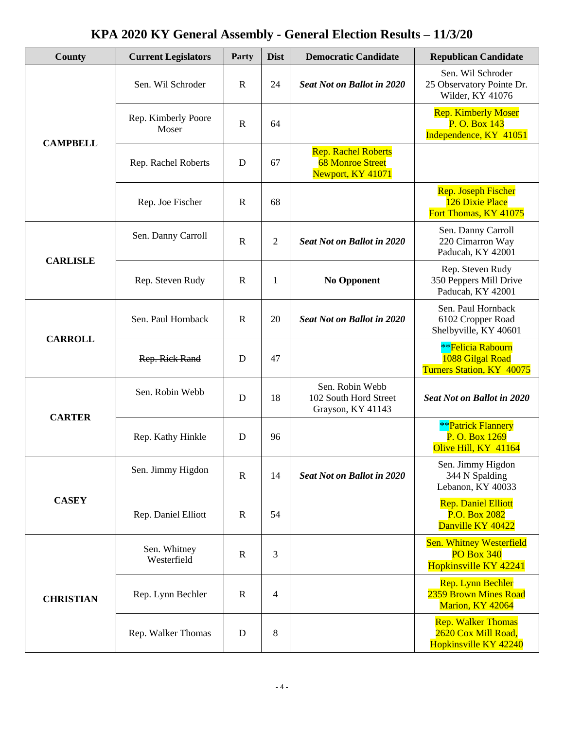| County           | <b>Current Legislators</b>   | Party        | <b>Dist</b>                                          | <b>Democratic Candidate</b>                                                                                                                                                                        | <b>Republican Candidate</b>                                                   |
|------------------|------------------------------|--------------|------------------------------------------------------|----------------------------------------------------------------------------------------------------------------------------------------------------------------------------------------------------|-------------------------------------------------------------------------------|
|                  | Sen. Wil Schroder            | $\mathbf R$  | 24                                                   | <b>Seat Not on Ballot in 2020</b>                                                                                                                                                                  | Sen. Wil Schroder<br>25 Observatory Pointe Dr.<br>Wilder, KY 41076            |
| <b>CAMPBELL</b>  | Rep. Kimberly Poore<br>Moser | $\mathbb{R}$ | 64                                                   |                                                                                                                                                                                                    | <b>Rep. Kimberly Moser</b><br>P. O. Box 143<br>Independence, KY 41051         |
|                  | Rep. Rachel Roberts          | D            | 67                                                   | <b>Rep. Rachel Roberts</b><br><b>68 Monroe Street</b><br>Newport, KY 41071                                                                                                                         |                                                                               |
|                  | Rep. Joe Fischer             | $\mathbb{R}$ | 68                                                   | <b>Seat Not on Ballot in 2020</b><br><b>No Opponent</b><br><b>Seat Not on Ballot in 2020</b><br>Sen. Robin Webb<br>102 South Hord Street<br>Grayson, KY 41143<br><b>Seat Not on Ballot in 2020</b> | <b>Rep. Joseph Fischer</b><br>126 Dixie Place<br>Fort Thomas, KY 41075        |
| <b>CARLISLE</b>  | Sen. Danny Carroll           | $\mathbb{R}$ | $\mathfrak{2}$                                       |                                                                                                                                                                                                    | Sen. Danny Carroll<br>220 Cimarron Way<br>Paducah, KY 42001                   |
|                  | Rep. Steven Rudy             | $\mathbf R$  | 1<br>20<br>47<br>18<br>96<br>14<br>54<br>3<br>4<br>8 | Rep. Steven Rudy<br>350 Peppers Mill Drive<br>Paducah, KY 42001                                                                                                                                    |                                                                               |
| <b>CARROLL</b>   | Sen. Paul Hornback           | $\mathbf R$  |                                                      |                                                                                                                                                                                                    | Sen. Paul Hornback<br>6102 Cropper Road<br>Shelbyville, KY 40601              |
|                  | Rep. Rick Rand               | D            |                                                      |                                                                                                                                                                                                    | <b>**Felicia Rabourn</b><br>1088 Gilgal Road<br>Turners Station, KY 40075     |
| <b>CARTER</b>    | Sen. Robin Webb              | D            |                                                      |                                                                                                                                                                                                    | <b>Seat Not on Ballot in 2020</b>                                             |
|                  | Rep. Kathy Hinkle            | D            |                                                      |                                                                                                                                                                                                    | <b>**Patrick Flannery</b><br>P. O. Box 1269<br>Olive Hill, KY 41164           |
|                  | Sen. Jimmy Higdon            | $\mathbb{R}$ |                                                      |                                                                                                                                                                                                    | Sen. Jimmy Higdon<br>344 N Spalding<br>Lebanon, KY 40033                      |
| <b>CASEY</b>     | Rep. Daniel Elliott          | $\mathbf R$  |                                                      |                                                                                                                                                                                                    | <b>Rep. Daniel Elliott</b><br>P.O. Box 2082<br>Danville KY 40422              |
|                  | Sen. Whitney<br>Westerfield  | $\mathbf R$  |                                                      |                                                                                                                                                                                                    | <b>Sen. Whitney Westerfield</b><br><b>PO Box 340</b><br>Hopkinsville KY 42241 |
| <b>CHRISTIAN</b> | Rep. Lynn Bechler            | $\mathbf R$  |                                                      |                                                                                                                                                                                                    | Rep. Lynn Bechler<br>2359 Brown Mines Road<br>Marion, KY 42064                |
|                  | Rep. Walker Thomas           | D            |                                                      |                                                                                                                                                                                                    | <b>Rep. Walker Thomas</b><br>2620 Cox Mill Road,<br>Hopkinsville KY 42240     |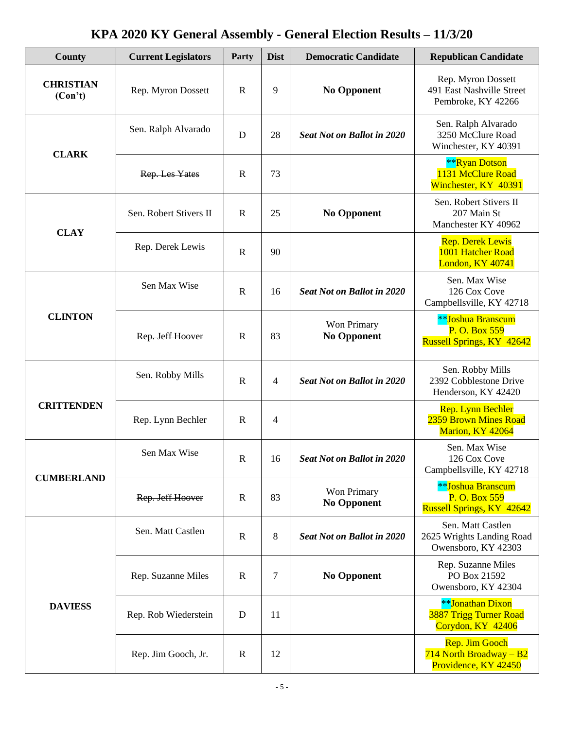| County                      | <b>Current Legislators</b> | Party        | <b>Dist</b> | <b>Democratic Candidate</b>                                                                                                                                                                                 | <b>Republican Candidate</b>                                                   |
|-----------------------------|----------------------------|--------------|-------------|-------------------------------------------------------------------------------------------------------------------------------------------------------------------------------------------------------------|-------------------------------------------------------------------------------|
| <b>CHRISTIAN</b><br>(Con't) | Rep. Myron Dossett         | $\mathbb{R}$ | 9           | <b>No Opponent</b>                                                                                                                                                                                          | Rep. Myron Dossett<br>491 East Nashville Street<br>Pembroke, KY 42266         |
| <b>CLARK</b>                | Sen. Ralph Alvarado        | D            | 28          | <b>Seat Not on Ballot in 2020</b>                                                                                                                                                                           | Sen. Ralph Alvarado<br>3250 McClure Road<br>Winchester, KY 40391              |
|                             | Rep. Les Yates             | $\mathbf R$  | 73          |                                                                                                                                                                                                             | **Ryan Dotson<br>1131 McClure Road<br>Winchester, KY 40391                    |
| <b>CLAY</b>                 | Sen. Robert Stivers II     | $\mathbf R$  | 25          | <b>No Opponent</b>                                                                                                                                                                                          | Sen. Robert Stivers II<br>207 Main St<br>Manchester KY 40962                  |
|                             | Rep. Derek Lewis           | ${\bf R}$    | 90          |                                                                                                                                                                                                             | <b>Rep. Derek Lewis</b><br>1001 Hatcher Road<br>London, KY 40741              |
|                             | Sen Max Wise               | ${\bf R}$    | 16          | <b>Seat Not on Ballot in 2020</b>                                                                                                                                                                           | Sen. Max Wise<br>126 Cox Cove<br>Campbellsville, KY 42718                     |
| <b>CLINTON</b>              | Rep. Jeff Hoover           | $\mathbb{R}$ | 83          | Won Primary<br><b>No Opponent</b><br><b>Seat Not on Ballot in 2020</b><br><b>Seat Not on Ballot in 2020</b><br>Won Primary<br><b>No Opponent</b><br><b>Seat Not on Ballot in 2020</b><br><b>No Opponent</b> | <b>**Joshua Branscum</b><br>P. O. Box 559<br><b>Russell Springs, KY 42642</b> |
|                             | Sen. Robby Mills           | $\mathbb{R}$ | 4           |                                                                                                                                                                                                             | Sen. Robby Mills<br>2392 Cobblestone Drive<br>Henderson, KY 42420             |
| <b>CRITTENDEN</b>           | Rep. Lynn Bechler          | $\mathbf R$  | 4           |                                                                                                                                                                                                             | Rep. Lynn Bechler<br>2359 Brown Mines Road<br>Marion, KY 42064                |
| <b>CUMBERLAND</b>           | Sen Max Wise               | ${\bf R}$    | 16          |                                                                                                                                                                                                             | Sen. Max Wise<br>126 Cox Cove<br>Campbellsville, KY 42718                     |
|                             | Rep. Jeff Hoover           | $\mathbf R$  | 83          |                                                                                                                                                                                                             | <b>**Joshua Branscum</b><br>P. O. Box 559<br><b>Russell Springs, KY 42642</b> |
|                             | Sen. Matt Castlen          | $\mathbb{R}$ | 8           |                                                                                                                                                                                                             | Sen. Matt Castlen<br>2625 Wrights Landing Road<br>Owensboro, KY 42303         |
|                             | Rep. Suzanne Miles         | $\mathbb{R}$ | 7           |                                                                                                                                                                                                             | Rep. Suzanne Miles<br>PO Box 21592<br>Owensboro, KY 42304                     |
| <b>DAVIESS</b>              | Rep. Rob Wiederstein       | $\mathbf D$  | 11          |                                                                                                                                                                                                             | <b>**Jonathan Dixon</b><br><b>3887 Trigg Turner Road</b><br>Corydon, KY 42406 |
|                             | Rep. Jim Gooch, Jr.        | $\mathbb{R}$ | 12          |                                                                                                                                                                                                             | <b>Rep. Jim Gooch</b><br>$714$ North Broadway - B2<br>Providence, KY 42450    |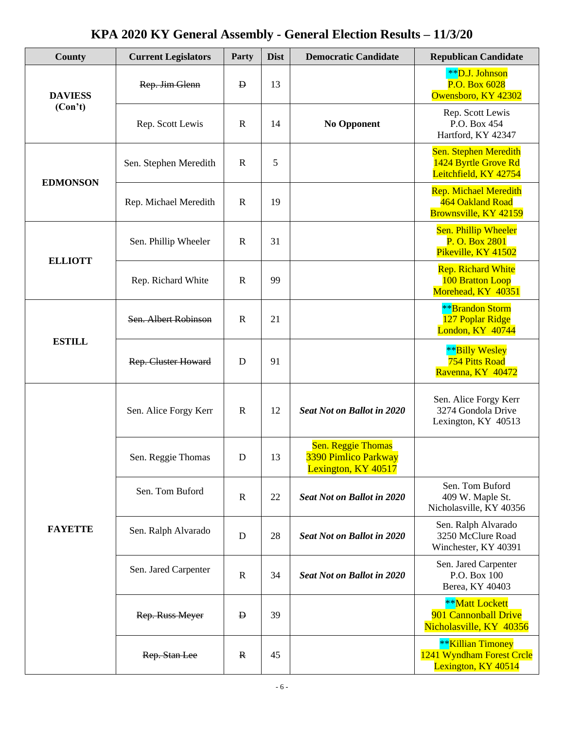| County          | <b>Current Legislators</b> | Party        | <b>Dist</b> | <b>Democratic Candidate</b>                                              | <b>Republican Candidate</b>                                                  |
|-----------------|----------------------------|--------------|-------------|--------------------------------------------------------------------------|------------------------------------------------------------------------------|
| <b>DAVIESS</b>  | Rep. Jim Glenn             | $\mathbf{D}$ | 13          |                                                                          | **D.J. Johnson<br>P.O. Box 6028<br>Owensboro, KY 42302                       |
| (Con't)         | Rep. Scott Lewis           | $\mathbf R$  | 14          | <b>No Opponent</b>                                                       | Rep. Scott Lewis<br>P.O. Box 454<br>Hartford, KY 42347                       |
| <b>EDMONSON</b> | Sen. Stephen Meredith      | $\mathbf R$  | 5           |                                                                          | Sen. Stephen Meredith<br>1424 Byrtle Grove Rd<br>Leitchfield, KY 42754       |
|                 | Rep. Michael Meredith      | $\mathbf R$  | 19          |                                                                          | <b>Rep. Michael Meredith</b><br>464 Oakland Road<br>Brownsville, KY 42159    |
| <b>ELLIOTT</b>  | Sen. Phillip Wheeler       | $\mathbb{R}$ | 31          |                                                                          | Sen. Phillip Wheeler<br>P. O. Box 2801<br>Pikeville, KY 41502                |
|                 | Rep. Richard White         | $\mathbf R$  | 99          |                                                                          | <b>Rep. Richard White</b><br>100 Bratton Loop<br>Morehead, KY 40351          |
|                 | Sen. Albert Robinson       | $\mathbb{R}$ | 21          |                                                                          | <b>**</b> Brandon Storm<br>127 Poplar Ridge<br>London, KY 40744              |
| <b>ESTILL</b>   | <b>Rep. Cluster Howard</b> | D            | 91          | <b>Seat Not on Ballot in 2020</b>                                        | **Billy Wesley<br><b>754 Pitts Road</b><br>Ravenna, KY 40472                 |
|                 | Sen. Alice Forgy Kerr      | $\mathbf R$  | 12          |                                                                          | Sen. Alice Forgy Kerr<br>3274 Gondola Drive<br>Lexington, KY 40513           |
|                 | Sen. Reggie Thomas         | D            | 13          | <b>Sen. Reggie Thomas</b><br>3390 Pimlico Parkway<br>Lexington, KY 40517 |                                                                              |
|                 | Sen. Tom Buford            | $\mathbb{R}$ | 22          | <b>Seat Not on Ballot in 2020</b>                                        | Sen. Tom Buford<br>409 W. Maple St.<br>Nicholasville, KY 40356               |
| <b>FAYETTE</b>  | Sen. Ralph Alvarado        | $\mathbf D$  | 28          | <b>Seat Not on Ballot in 2020</b>                                        | Sen. Ralph Alvarado<br>3250 McClure Road<br>Winchester, KY 40391             |
|                 | Sen. Jared Carpenter       | $\mathbb{R}$ | 34          | <b>Seat Not on Ballot in 2020</b>                                        | Sen. Jared Carpenter<br>P.O. Box 100<br>Berea, KY 40403                      |
|                 | Rep. Russ Meyer            | $\mathbf{D}$ | 39          |                                                                          | **Matt Lockett<br>901 Cannonball Drive<br>Nicholasville, KY 40356            |
|                 | Rep. Stan Lee              | $\mathbf{R}$ | 45          |                                                                          | <b>**Killian Timoney</b><br>1241 Wyndham Forest Crcle<br>Lexington, KY 40514 |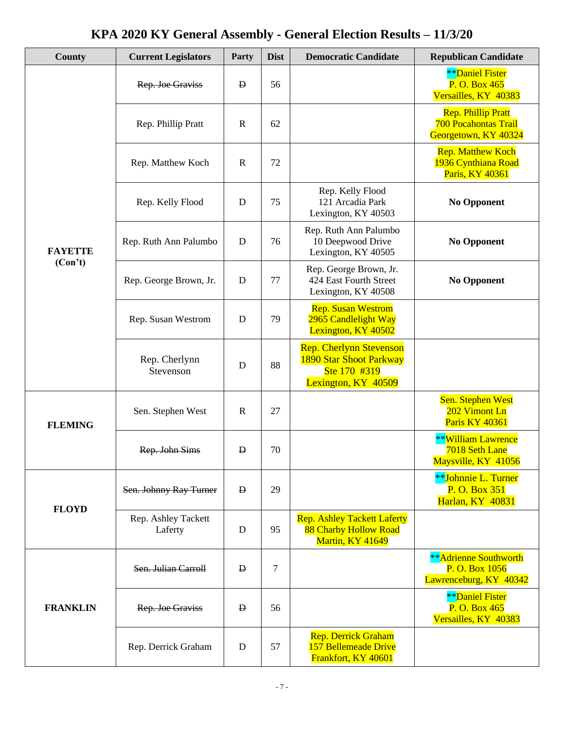| County          | <b>Current Legislators</b>     | Party        | <b>Dist</b>         | <b>Democratic Candidate</b>                                                                                                                                                                                                                                                                                                                                                                                                                                                                                                                          | <b>Republican Candidate</b>                                                      |
|-----------------|--------------------------------|--------------|---------------------|------------------------------------------------------------------------------------------------------------------------------------------------------------------------------------------------------------------------------------------------------------------------------------------------------------------------------------------------------------------------------------------------------------------------------------------------------------------------------------------------------------------------------------------------------|----------------------------------------------------------------------------------|
|                 | Rep. Joe Graviss               | Đ            | 56                  |                                                                                                                                                                                                                                                                                                                                                                                                                                                                                                                                                      | <b>**</b> Daniel Fister<br>P. O. Box 465<br>Versailles, KY 40383                 |
|                 | Rep. Phillip Pratt             | $\mathbf R$  | 62                  |                                                                                                                                                                                                                                                                                                                                                                                                                                                                                                                                                      | <b>Rep. Phillip Pratt</b><br><b>700 Pocahontas Trail</b><br>Georgetown, KY 40324 |
|                 | Rep. Matthew Koch              | $\mathbb{R}$ | 72                  |                                                                                                                                                                                                                                                                                                                                                                                                                                                                                                                                                      | <b>Rep. Matthew Koch</b><br>1936 Cynthiana Road<br>Paris, KY 40361               |
|                 | Rep. Kelly Flood               | D            | 75                  | Rep. Kelly Flood<br>121 Arcadia Park<br>Lexington, KY 40503<br>Rep. Ruth Ann Palumbo<br>10 Deepwood Drive<br>Lexington, KY 40505<br>Rep. George Brown, Jr.<br>424 East Fourth Street<br>Lexington, KY 40508<br><b>Rep. Susan Westrom</b><br>2965 Candlelight Way<br>Lexington, KY 40502<br><b>Rep. Cherlynn Stevenson</b><br>1890 Star Shoot Parkway<br>Ste 170 #319<br>Lexington, KY 40509<br><b>Rep. Ashley Tackett Laferty</b><br>88 Charby Hollow Road<br>Martin, KY 41649<br>Rep. Derrick Graham<br>157 Bellemeade Drive<br>Frankfort, KY 40601 | <b>No Opponent</b>                                                               |
| <b>FAYETTE</b>  | Rep. Ruth Ann Palumbo          | D            | 76                  |                                                                                                                                                                                                                                                                                                                                                                                                                                                                                                                                                      | <b>No Opponent</b>                                                               |
| (Con't)         | Rep. George Brown, Jr.         | D            | 77                  |                                                                                                                                                                                                                                                                                                                                                                                                                                                                                                                                                      | <b>No Opponent</b>                                                               |
|                 | Rep. Susan Westrom             | D            | 79                  |                                                                                                                                                                                                                                                                                                                                                                                                                                                                                                                                                      |                                                                                  |
|                 | Rep. Cherlynn<br>Stevenson     | D            | 88                  |                                                                                                                                                                                                                                                                                                                                                                                                                                                                                                                                                      |                                                                                  |
| <b>FLEMING</b>  | Sen. Stephen West              | $\mathbb{R}$ | 27                  |                                                                                                                                                                                                                                                                                                                                                                                                                                                                                                                                                      | Sen. Stephen West<br>202 Vimont Ln<br>Paris KY 40361                             |
|                 | Rep. John Sims                 | $\mathbf{D}$ | 70                  |                                                                                                                                                                                                                                                                                                                                                                                                                                                                                                                                                      | **William Lawrence<br>7018 Seth Lane<br>Maysville, KY 41056                      |
| <b>FLOYD</b>    | Sen. Johnny Ray Turner         | <b>D</b>     | 29                  |                                                                                                                                                                                                                                                                                                                                                                                                                                                                                                                                                      | **Johnnie L. Turner<br>P. O. Box 351<br><b>Harlan, KY 40831</b>                  |
|                 | Rep. Ashley Tackett<br>Laferty | D            | 95<br>7<br>56<br>57 |                                                                                                                                                                                                                                                                                                                                                                                                                                                                                                                                                      |                                                                                  |
|                 | Sen. Julian Carroll            | $\mathbf{D}$ |                     |                                                                                                                                                                                                                                                                                                                                                                                                                                                                                                                                                      | <b>**Adrienne Southworth</b><br>P. O. Box 1056<br>Lawrenceburg, KY 40342         |
| <b>FRANKLIN</b> | Rep. Joe Graviss               | $\mathbf{p}$ |                     |                                                                                                                                                                                                                                                                                                                                                                                                                                                                                                                                                      | <b>**</b> Daniel Fister<br>P. O. Box 465<br>Versailles, KY 40383                 |
|                 | Rep. Derrick Graham            | D            |                     |                                                                                                                                                                                                                                                                                                                                                                                                                                                                                                                                                      |                                                                                  |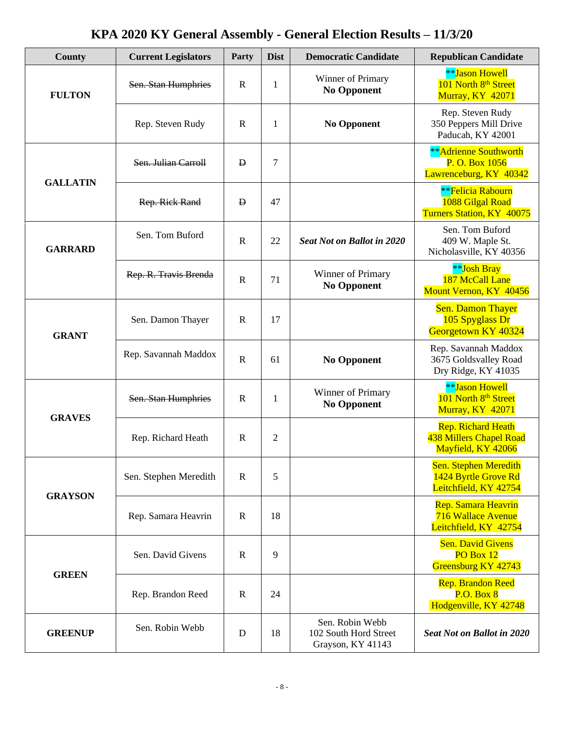| <b>County</b>   | <b>Current Legislators</b> | Party        | <b>Dist</b>    | <b>Democratic Candidate</b>                                               | <b>Republican Candidate</b>                                                   |
|-----------------|----------------------------|--------------|----------------|---------------------------------------------------------------------------|-------------------------------------------------------------------------------|
| <b>FULTON</b>   | Sen. Stan Humphries        | $\mathbf R$  | $\mathbf{1}$   | Winner of Primary<br><b>No Opponent</b>                                   | <b>**Jason Howell</b><br>101 North 8 <sup>th</sup> Street<br>Murray, KY 42071 |
|                 | Rep. Steven Rudy           | $\mathbf R$  | $\mathbf{1}$   | <b>No Opponent</b>                                                        | Rep. Steven Rudy<br>350 Peppers Mill Drive<br>Paducah, KY 42001               |
| <b>GALLATIN</b> | Sen. Julian Carroll        | D            | $\tau$         |                                                                           | <b>**</b> Adrienne Southworth<br>P. O. Box 1056<br>Lawrenceburg, KY 40342     |
|                 | Rep. Rick Rand             | 47<br>Đ      |                | <b>**Felicia Rabourn</b><br>1088 Gilgal Road<br>Turners Station, KY 40075 |                                                                               |
| <b>GARRARD</b>  | Sen. Tom Buford            | $\mathbf R$  | 22             | <b>Seat Not on Ballot in 2020</b>                                         | Sen. Tom Buford<br>409 W. Maple St.<br>Nicholasville, KY 40356                |
|                 | Rep. R. Travis Brenda      | $\mathbf R$  | 71             | Winner of Primary<br><b>No Opponent</b>                                   | **Josh Bray<br>187 McCall Lane<br>Mount Vernon, KY 40456                      |
| <b>GRANT</b>    | Sen. Damon Thayer          | $\mathbf R$  | 17             |                                                                           | <b>Sen. Damon Thayer</b><br>105 Spyglass Dr<br>Georgetown KY 40324            |
|                 | Rep. Savannah Maddox       | $\mathbb{R}$ | 61             | <b>No Opponent</b>                                                        | Rep. Savannah Maddox<br>3675 Goldsvalley Road<br>Dry Ridge, KY 41035          |
| <b>GRAVES</b>   | Sen. Stan Humphries        | $\mathbf R$  | $\mathbf{1}$   | Winner of Primary<br><b>No Opponent</b>                                   | **Jason Howell<br>101 North 8 <sup>th</sup> Street<br>Murray, KY 42071        |
|                 | Rep. Richard Heath         | $\mathbf R$  | $\overline{2}$ |                                                                           | <b>Rep. Richard Heath</b><br>438 Millers Chapel Road<br>Mayfield, KY 42066    |
| <b>GRAYSON</b>  | Sen. Stephen Meredith      | $\mathbb{R}$ | 5              |                                                                           | Sen. Stephen Meredith<br>1424 Byrtle Grove Rd<br>Leitchfield, KY 42754        |
|                 | Rep. Samara Heavrin        | $\mathbf R$  | 18             |                                                                           | Rep. Samara Heavrin<br><b>716 Wallace Avenue</b><br>Leitchfield, KY 42754     |
| <b>GREEN</b>    | Sen. David Givens          | $\mathbf R$  | 9              |                                                                           | <b>Sen. David Givens</b><br>PO Box 12<br>Greensburg KY 42743                  |
|                 | Rep. Brandon Reed          | $\mathbb{R}$ | 24             |                                                                           | <b>Rep. Brandon Reed</b><br><b>P.O. Box 8</b><br>Hodgenville, KY 42748        |
| <b>GREENUP</b>  | Sen. Robin Webb            | D            | 18             | Sen. Robin Webb<br>102 South Hord Street<br>Grayson, KY 41143             | <b>Seat Not on Ballot in 2020</b>                                             |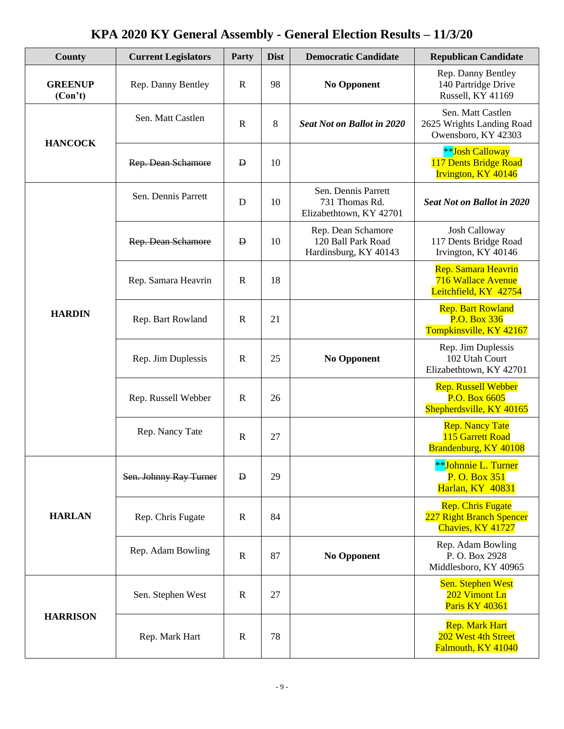| <b>County</b>             | <b>Current Legislators</b> | Party        | <b>Dist</b>              | <b>Democratic Candidate</b>                                       | <b>Republican Candidate</b>                                               |
|---------------------------|----------------------------|--------------|--------------------------|-------------------------------------------------------------------|---------------------------------------------------------------------------|
| <b>GREENUP</b><br>(Con't) | Rep. Danny Bentley         | $\mathbf R$  | 98                       | <b>No Opponent</b>                                                | Rep. Danny Bentley<br>140 Partridge Drive<br><b>Russell, KY 41169</b>     |
| <b>HANCOCK</b>            | Sen. Matt Castlen          | $\mathbf R$  | 8                        | <b>Seat Not on Ballot in 2020</b>                                 | Sen. Matt Castlen<br>2625 Wrights Landing Road<br>Owensboro, KY 42303     |
|                           | Rep. Dean Schamore         | $\mathbf{D}$ | 10                       |                                                                   | <b>**Josh Calloway</b><br>117 Dents Bridge Road<br>Irvington, KY 40146    |
|                           | Sen. Dennis Parrett        | D            | 10                       | Sen. Dennis Parrett<br>731 Thomas Rd.<br>Elizabethtown, KY 42701  | <b>Seat Not on Ballot in 2020</b>                                         |
|                           | Rep. Dean Schamore         | $\mathbf{D}$ | 10                       | Rep. Dean Schamore<br>120 Ball Park Road<br>Hardinsburg, KY 40143 | <b>Josh Calloway</b><br>117 Dents Bridge Road<br>Irvington, KY 40146      |
|                           | Rep. Samara Heavrin        | $\mathbf R$  | 18                       |                                                                   | Rep. Samara Heavrin<br>716 Wallace Avenue<br>Leitchfield, KY 42754        |
| <b>HARDIN</b>             | Rep. Bart Rowland          | $\mathbf R$  | 21                       |                                                                   | <b>Rep. Bart Rowland</b><br>P.O. Box 336<br>Tompkinsville, KY 42167       |
|                           | Rep. Jim Duplessis         | $\mathbb{R}$ | 25<br><b>No Opponent</b> |                                                                   | Rep. Jim Duplessis<br>102 Utah Court<br>Elizabethtown, KY 42701           |
|                           | Rep. Russell Webber        | $\mathbb{R}$ | 26                       |                                                                   | <b>Rep. Russell Webber</b><br>P.O. Box 6605<br>Shepherdsville, KY 40165   |
|                           | Rep. Nancy Tate            | $\mathbf R$  | 27                       |                                                                   | <b>Rep. Nancy Tate</b><br>115 Garrett Road<br>Brandenburg, KY 40108       |
|                           | Sen. Johnny Ray Turner     | $\mathbf{B}$ | 29                       |                                                                   | **Johnnie L. Turner<br>P. O. Box 351<br><b>Harlan, KY 40831</b>           |
| <b>HARLAN</b>             | Rep. Chris Fugate          | $\mathbb{R}$ | 84                       |                                                                   | <b>Rep. Chris Fugate</b><br>227 Right Branch Spencer<br>Chavies, KY 41727 |
|                           | Rep. Adam Bowling          | $\mathbf R$  | 87                       | <b>No Opponent</b><br>27<br>78                                    | Rep. Adam Bowling<br>P.O. Box 2928<br>Middlesboro, KY 40965               |
|                           | Sen. Stephen West          | $\mathbb{R}$ |                          |                                                                   | <b>Sen. Stephen West</b><br>202 Vimont Ln<br>Paris KY 40361               |
| <b>HARRISON</b>           | Rep. Mark Hart             | $\mathbb{R}$ |                          |                                                                   | <b>Rep. Mark Hart</b><br>202 West 4th Street<br>Falmouth, KY 41040        |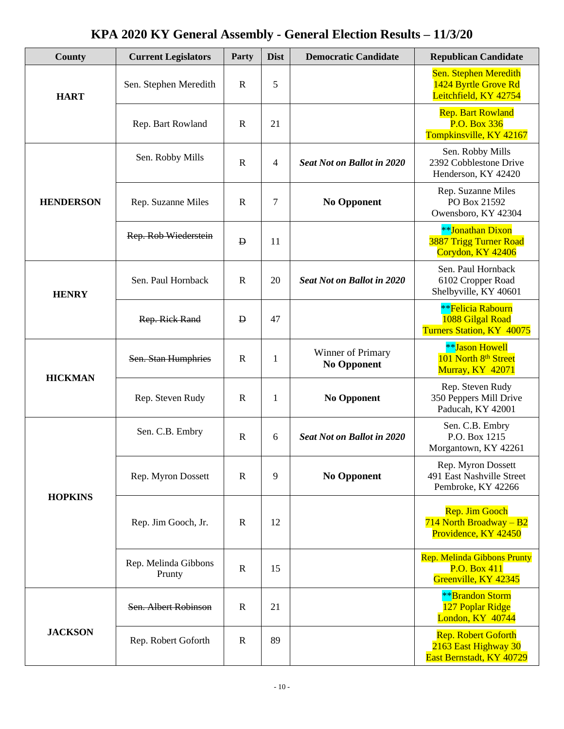| County           | <b>Current Legislators</b>     | Party        | <b>Dist</b> | <b>Democratic Candidate</b>                                                                                                                                                                                              | <b>Republican Candidate</b>                                                    |
|------------------|--------------------------------|--------------|-------------|--------------------------------------------------------------------------------------------------------------------------------------------------------------------------------------------------------------------------|--------------------------------------------------------------------------------|
| <b>HART</b>      | Sen. Stephen Meredith          | $\mathbf R$  | 5           |                                                                                                                                                                                                                          | Sen. Stephen Meredith<br>1424 Byrtle Grove Rd<br>Leitchfield, KY 42754         |
|                  | Rep. Bart Rowland              | $\mathbf R$  | 21          | <b>Seat Not on Ballot in 2020</b><br><b>No Opponent</b><br><b>Seat Not on Ballot in 2020</b><br>Winner of Primary<br><b>No Opponent</b><br><b>No Opponent</b><br><b>Seat Not on Ballot in 2020</b><br><b>No Opponent</b> | <b>Rep. Bart Rowland</b><br>P.O. Box 336<br>Tompkinsville, KY 42167            |
|                  | Sen. Robby Mills               | $\mathbf R$  | 4           |                                                                                                                                                                                                                          | Sen. Robby Mills<br>2392 Cobblestone Drive<br>Henderson, KY 42420              |
| <b>HENDERSON</b> | Rep. Suzanne Miles             | $\mathbf R$  | 7           |                                                                                                                                                                                                                          | Rep. Suzanne Miles<br>PO Box 21592<br>Owensboro, KY 42304                      |
|                  | Rep. Rob Wiederstein           | $\mathbf{D}$ | 11          | 20<br>47<br>1<br>$\mathbf{1}$<br>6<br>9<br>12<br>15<br>21<br>89                                                                                                                                                          | **Jonathan Dixon<br><b>3887 Trigg Turner Road</b><br>Corydon, KY 42406         |
| <b>HENRY</b>     | Sen. Paul Hornback             | $\mathbf R$  |             |                                                                                                                                                                                                                          | Sen. Paul Hornback<br>6102 Cropper Road<br>Shelbyville, KY 40601               |
|                  | Rep. Rick Rand                 | Đ            |             |                                                                                                                                                                                                                          | <b>**Felicia Rabourn</b><br>1088 Gilgal Road<br>Turners Station, KY 40075      |
| <b>HICKMAN</b>   | Sen. Stan Humphries            | $\mathbf R$  |             |                                                                                                                                                                                                                          | <b>**</b> Jason Howell<br>101 North 8th Street<br><b>Murray, KY 42071</b>      |
|                  | Rep. Steven Rudy               | $\mathbf R$  |             |                                                                                                                                                                                                                          | Rep. Steven Rudy<br>350 Peppers Mill Drive<br>Paducah, KY 42001                |
|                  | Sen. C.B. Embry                | $\mathbf R$  |             |                                                                                                                                                                                                                          | Sen. C.B. Embry<br>P.O. Box 1215<br>Morgantown, KY 42261                       |
| <b>HOPKINS</b>   | Rep. Myron Dossett             | $\mathbf R$  |             |                                                                                                                                                                                                                          | Rep. Myron Dossett<br>491 East Nashville Street<br>Pembroke, KY 42266          |
|                  | Rep. Jim Gooch, Jr.            | $\mathbf R$  |             |                                                                                                                                                                                                                          | Rep. Jim Gooch<br>714 North Broadway $- B2$<br>Providence, KY 42450            |
|                  | Rep. Melinda Gibbons<br>Prunty | $\mathbf R$  |             |                                                                                                                                                                                                                          | <b>Rep. Melinda Gibbons Prunty</b><br>P.O. Box 411<br>Greenville, KY 42345     |
|                  | Sen. Albert Robinson           | R            |             |                                                                                                                                                                                                                          | <b>**</b> Brandon Storm<br>127 Poplar Ridge<br>London, KY 40744                |
| <b>JACKSON</b>   | Rep. Robert Goforth            | $\mathbf R$  |             |                                                                                                                                                                                                                          | <b>Rep. Robert Goforth</b><br>2163 East Highway 30<br>East Bernstadt, KY 40729 |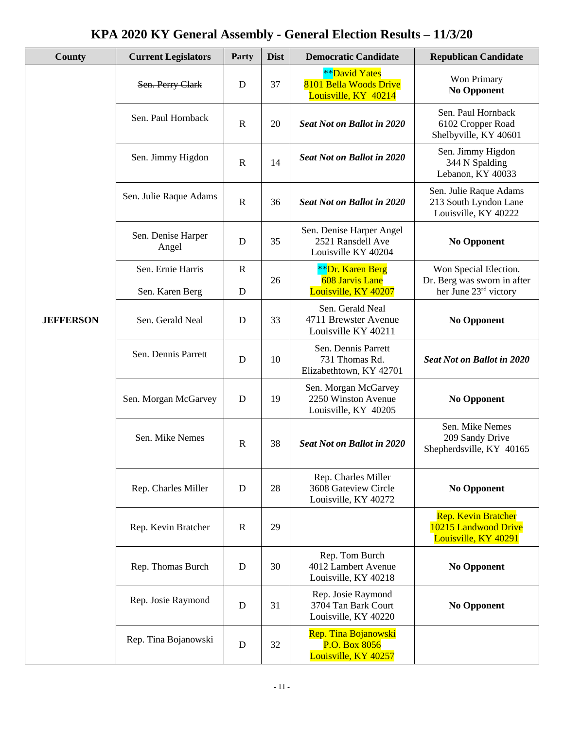| County           | <b>Current Legislators</b>           | <b>Party</b>      | <b>Dist</b> | <b>Democratic Candidate</b>                                               | <b>Republican Candidate</b>                                                   |
|------------------|--------------------------------------|-------------------|-------------|---------------------------------------------------------------------------|-------------------------------------------------------------------------------|
|                  | Sen. Perry Clark                     | D                 | 37          | <b>**David Yates</b><br>8101 Bella Woods Drive<br>Louisville, KY 40214    | Won Primary<br><b>No Opponent</b>                                             |
| <b>JEFFERSON</b> | Sen. Paul Hornback                   | $\mathbf R$       | 20          | <b>Seat Not on Ballot in 2020</b>                                         | Sen. Paul Hornback<br>6102 Cropper Road<br>Shelbyville, KY 40601              |
|                  | Sen. Jimmy Higdon                    | $\mathbf R$       | 14          | <b>Seat Not on Ballot in 2020</b>                                         | Sen. Jimmy Higdon<br>344 N Spalding<br>Lebanon, KY 40033                      |
|                  | Sen. Julie Raque Adams               | $\mathbf R$       | 36          | <b>Seat Not on Ballot in 2020</b>                                         | Sen. Julie Raque Adams<br>213 South Lyndon Lane<br>Louisville, KY 40222       |
|                  | Sen. Denise Harper<br>Angel          | D                 | 35          | Sen. Denise Harper Angel<br>2521 Ransdell Ave<br>Louisville KY 40204      | <b>No Opponent</b>                                                            |
|                  | Sen. Ernie Harris<br>Sen. Karen Berg | $\mathbf{R}$<br>D | 26          | <b>**Dr. Karen Berg</b><br><b>608 Jarvis Lane</b><br>Louisville, KY 40207 | Won Special Election.<br>Dr. Berg was sworn in after<br>her June 23rd victory |
|                  | Sen. Gerald Neal                     | D                 | 33          | Sen. Gerald Neal<br>4711 Brewster Avenue<br>Louisville KY 40211           | <b>No Opponent</b>                                                            |
|                  | Sen. Dennis Parrett                  | D                 | 10          | Sen. Dennis Parrett<br>731 Thomas Rd.<br>Elizabethtown, KY 42701          | <b>Seat Not on Ballot in 2020</b>                                             |
|                  | Sen. Morgan McGarvey                 | D                 | 19          | Sen. Morgan McGarvey<br>2250 Winston Avenue<br>Louisville, KY 40205       | <b>No Opponent</b>                                                            |
|                  | Sen. Mike Nemes                      | $\mathbf R$       | 38          | <b>Seat Not on Ballot in 2020</b>                                         | Sen. Mike Nemes<br>209 Sandy Drive<br>Shepherdsville, KY 40165                |
|                  | Rep. Charles Miller                  | D                 | 28          | Rep. Charles Miller<br>3608 Gateview Circle<br>Louisville, KY 40272       | <b>No Opponent</b>                                                            |
|                  | Rep. Kevin Bratcher                  | $\mathbf R$       | 29          |                                                                           | <b>Rep. Kevin Bratcher</b><br>10215 Landwood Drive<br>Louisville, KY 40291    |
|                  | Rep. Thomas Burch                    | D                 | 30          | Rep. Tom Burch<br>4012 Lambert Avenue<br>Louisville, KY 40218             | <b>No Opponent</b>                                                            |
|                  | Rep. Josie Raymond                   | D                 | 31          | Rep. Josie Raymond<br>3704 Tan Bark Court<br>Louisville, KY 40220         | <b>No Opponent</b>                                                            |
|                  | Rep. Tina Bojanowski                 | D                 | 32          | Rep. Tina Bojanowski<br>P.O. Box 8056<br>Louisville, KY 40257             |                                                                               |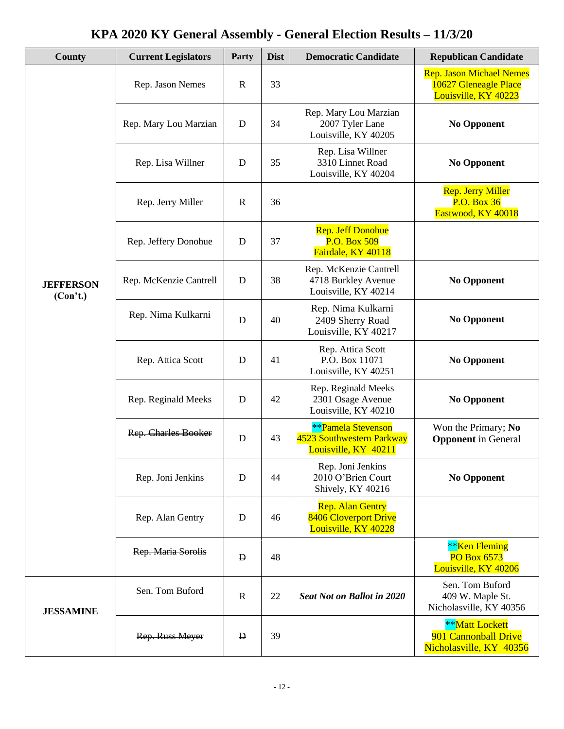| County                       | <b>Current Legislators</b> | Party        | <b>Dist</b> | <b>Democratic Candidate</b>                                                    | <b>Republican Candidate</b>                                                      |
|------------------------------|----------------------------|--------------|-------------|--------------------------------------------------------------------------------|----------------------------------------------------------------------------------|
|                              | Rep. Jason Nemes           | $\mathbf R$  | 33          |                                                                                | <b>Rep. Jason Michael Nemes</b><br>10627 Gleneagle Place<br>Louisville, KY 40223 |
|                              | Rep. Mary Lou Marzian      | D            | 34          | Rep. Mary Lou Marzian<br>2007 Tyler Lane<br>Louisville, KY 40205               | <b>No Opponent</b>                                                               |
|                              | Rep. Lisa Willner          | D            | 35          | Rep. Lisa Willner<br>3310 Linnet Road<br>Louisville, KY 40204                  | <b>No Opponent</b>                                                               |
|                              | Rep. Jerry Miller          | $\mathbf R$  | 36          |                                                                                | <b>Rep. Jerry Miller</b><br><b>P.O. Box 36</b><br>Eastwood, KY 40018             |
|                              | Rep. Jeffery Donohue       | D            | 37          | <b>Rep. Jeff Donohue</b><br>P.O. Box 509<br>Fairdale, KY 40118                 |                                                                                  |
| <b>JEFFERSON</b><br>(Con't.) | Rep. McKenzie Cantrell     | D            | 38          | Rep. McKenzie Cantrell<br>4718 Burkley Avenue<br>Louisville, KY 40214          | <b>No Opponent</b>                                                               |
|                              | Rep. Nima Kulkarni         | D            | 40          | Rep. Nima Kulkarni<br>2409 Sherry Road<br>Louisville, KY 40217                 | <b>No Opponent</b>                                                               |
|                              | Rep. Attica Scott          | D            | 41          | Rep. Attica Scott<br>P.O. Box 11071<br>Louisville, KY 40251                    | <b>No Opponent</b>                                                               |
|                              | Rep. Reginald Meeks        | D            | 42          | Rep. Reginald Meeks<br>2301 Osage Avenue<br>Louisville, KY 40210               | <b>No Opponent</b>                                                               |
|                              | <b>Rep. Charles Booker</b> | D            | 43          | <b>**Pamela Stevenson</b><br>4523 Southwestern Parkway<br>Louisville, KY 40211 | Won the Primary; No<br><b>Opponent</b> in General                                |
|                              | Rep. Joni Jenkins          | D            | 44          | Rep. Joni Jenkins<br>2010 O'Brien Court<br>Shively, KY 40216                   | <b>No Opponent</b>                                                               |
|                              | Rep. Alan Gentry           | D            | 46          | <b>Rep. Alan Gentry</b><br>8406 Cloverport Drive<br>Louisville, KY 40228       |                                                                                  |
|                              | Rep. Maria Sorolis         | D            | 48          |                                                                                | ** <b>Ken Fleming</b><br><b>PO Box 6573</b><br>Louisville, KY 40206              |
| <b>JESSAMINE</b>             | Sen. Tom Buford            | $\mathbb{R}$ | 22          | <b>Seat Not on Ballot in 2020</b>                                              | Sen. Tom Buford<br>409 W. Maple St.<br>Nicholasville, KY 40356                   |
|                              | Rep. Russ Meyer            | Đ            | 39          | **Matt Lockett<br>901 Cannonball Drive<br>Nicholasville, KY 40356              |                                                                                  |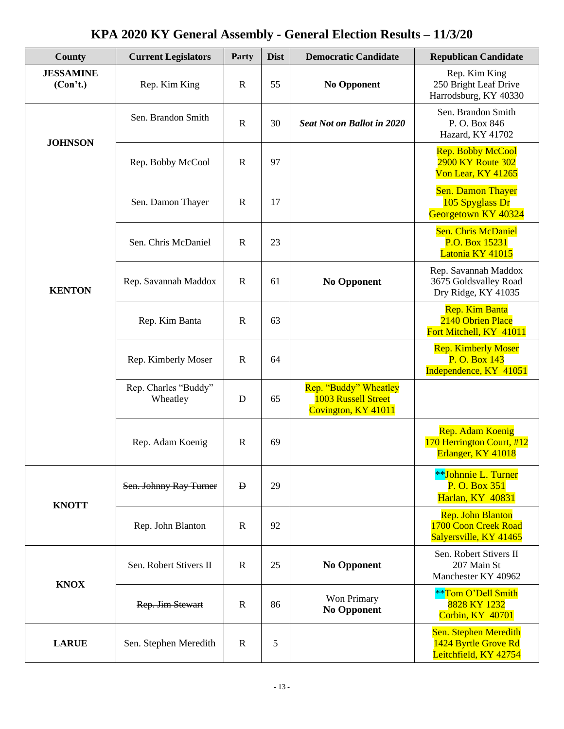| <b>County</b>                | <b>Current Legislators</b>       | Party        | <b>Dist</b> | <b>Democratic Candidate</b>                                         | <b>Republican Candidate</b>                                                |
|------------------------------|----------------------------------|--------------|-------------|---------------------------------------------------------------------|----------------------------------------------------------------------------|
| <b>JESSAMINE</b><br>(Con't.) | Rep. Kim King                    | $\mathbf R$  | 55          | <b>No Opponent</b>                                                  | Rep. Kim King<br>250 Bright Leaf Drive<br>Harrodsburg, KY 40330            |
| <b>JOHNSON</b>               | Sen. Brandon Smith               | $\mathbf R$  | 30          | <b>Seat Not on Ballot in 2020</b>                                   | Sen. Brandon Smith<br>P.O. Box 846<br>Hazard, KY 41702                     |
|                              | Rep. Bobby McCool                | $\mathbf R$  | 97          |                                                                     | <b>Rep. Bobby McCool</b><br><b>2900 KY Route 302</b><br>Von Lear, KY 41265 |
|                              | Sen. Damon Thayer                | $\mathbf R$  | 17          |                                                                     | <b>Sen. Damon Thayer</b><br>105 Spyglass Dr<br>Georgetown KY 40324         |
|                              | Sen. Chris McDaniel              | $\mathbf R$  | 23          |                                                                     | <b>Sen. Chris McDaniel</b><br>P.O. Box 15231<br>Latonia KY 41015           |
| <b>KENTON</b>                | Rep. Savannah Maddox             | $\mathbf R$  | 61          | <b>No Opponent</b>                                                  | Rep. Savannah Maddox<br>3675 Goldsvalley Road<br>Dry Ridge, KY 41035       |
|                              | Rep. Kim Banta                   | $\mathbf R$  | 63          |                                                                     | <b>Rep. Kim Banta</b><br>2140 Obrien Place<br>Fort Mitchell, KY 41011      |
|                              | Rep. Kimberly Moser              | $\mathbf R$  | 64          |                                                                     | <b>Rep. Kimberly Moser</b><br>P. O. Box 143<br>Independence, KY 41051      |
|                              | Rep. Charles "Buddy"<br>Wheatley | D            | 65          | Rep. "Buddy" Wheatley<br>1003 Russell Street<br>Covington, KY 41011 |                                                                            |
|                              | Rep. Adam Koenig                 | $\mathbb{R}$ | 69          |                                                                     | Rep. Adam Koenig<br>170 Herrington Court, #12<br>Erlanger, KY 41018        |
| <b>KNOTT</b>                 | Sen. Johnny Ray Turner           | $\mathbf{D}$ | 29          |                                                                     | **Johnnie L. Turner<br>P. O. Box 351<br><b>Harlan, KY 40831</b>            |
|                              | Rep. John Blanton                | $\mathbf R$  | 92          |                                                                     | Rep. John Blanton<br>1700 Coon Creek Road<br>Salyersville, KY 41465        |
| <b>KNOX</b>                  | Sen. Robert Stivers II           | $\mathbf R$  | 25          | <b>No Opponent</b>                                                  | Sen. Robert Stivers II<br>207 Main St<br>Manchester KY 40962               |
|                              | Rep. Jim Stewart                 | $\mathbf R$  | 86          | Won Primary<br><b>No Opponent</b>                                   | **Tom O'Dell Smith<br>8828 KY 1232<br>Corbin, KY 40701                     |
| <b>LARUE</b>                 | Sen. Stephen Meredith            | $\mathbf R$  | 5           |                                                                     | Sen. Stephen Meredith<br>1424 Byrtle Grove Rd<br>Leitchfield, KY 42754     |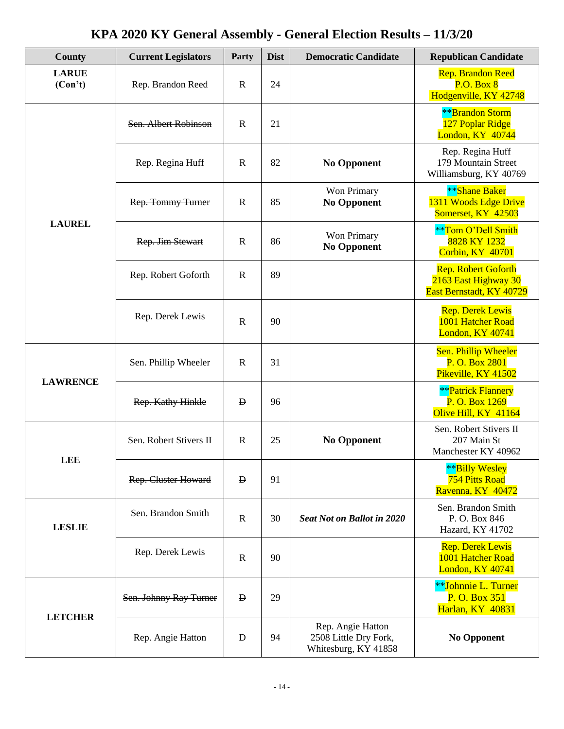| County                  | <b>Current Legislators</b> | Party        | <b>Dist</b> | <b>Democratic Candidate</b>                                        | <b>Republican Candidate</b>                                                    |
|-------------------------|----------------------------|--------------|-------------|--------------------------------------------------------------------|--------------------------------------------------------------------------------|
| <b>LARUE</b><br>(Con't) | Rep. Brandon Reed          | $\mathbf R$  | 24          |                                                                    | <b>Rep. Brandon Reed</b><br>P.O. Box 8<br>Hodgenville, KY 42748                |
|                         | Sen. Albert Robinson       | $\mathbf R$  | 21          |                                                                    | <b>**</b> Brandon Storm<br>127 Poplar Ridge<br>London, KY 40744                |
|                         | Rep. Regina Huff           | $\mathbf R$  | 82          | <b>No Opponent</b>                                                 | Rep. Regina Huff<br>179 Mountain Street<br>Williamsburg, KY 40769              |
|                         | Rep. Tommy Turner          | $\mathbf R$  | 85          | Won Primary<br><b>No Opponent</b>                                  | **Shane Baker<br>1311 Woods Edge Drive<br>Somerset, KY 42503                   |
| <b>LAUREL</b>           | Rep. Jim Stewart           | $\mathbb{R}$ | 86          | Won Primary<br><b>No Opponent</b>                                  | **Tom O'Dell Smith<br>8828 KY 1232<br>Corbin, KY 40701                         |
|                         | Rep. Robert Goforth        | $\mathbb{R}$ | 89          |                                                                    | <b>Rep. Robert Goforth</b><br>2163 East Highway 30<br>East Bernstadt, KY 40729 |
|                         | Rep. Derek Lewis           | $\mathbf R$  | 90          |                                                                    | <b>Rep. Derek Lewis</b><br>1001 Hatcher Road<br>London, KY 40741               |
| <b>LAWRENCE</b>         | Sen. Phillip Wheeler       | $\mathbf R$  | 31          |                                                                    | Sen. Phillip Wheeler<br>P. O. Box 2801<br>Pikeville, KY 41502                  |
|                         | Rep. Kathy Hinkle          | $\mathbf{p}$ | 96          |                                                                    | <b>**</b> Patrick Flannery<br>P. O. Box 1269<br>Olive Hill, KY 41164           |
| <b>LEE</b>              | Sen. Robert Stivers II     | $\mathbb{R}$ | 25          | <b>No Opponent</b>                                                 | Sen. Robert Stivers II<br>207 Main St<br>Manchester KY 40962                   |
|                         | <b>Rep. Cluster Howard</b> | $\mathbf{D}$ | 91          |                                                                    | **Billy Wesley<br><b>754 Pitts Road</b><br>Ravenna, KY 40472                   |
| <b>LESLIE</b>           | Sen. Brandon Smith         | $\mathbb{R}$ | 30          | <b>Seat Not on Ballot in 2020</b>                                  | Sen. Brandon Smith<br>P.O. Box 846<br>Hazard, KY 41702                         |
|                         | Rep. Derek Lewis           | $\mathbf R$  | 90          |                                                                    | <b>Rep. Derek Lewis</b><br>1001 Hatcher Road<br>London, KY 40741               |
| <b>LETCHER</b>          | Sen. Johnny Ray Turner     | $\mathbf{D}$ | 29          |                                                                    | **Johnnie L. Turner<br>P. O. Box 351<br><b>Harlan, KY 40831</b>                |
|                         | Rep. Angie Hatton          | D            | 94          | Rep. Angie Hatton<br>2508 Little Dry Fork,<br>Whitesburg, KY 41858 | <b>No Opponent</b>                                                             |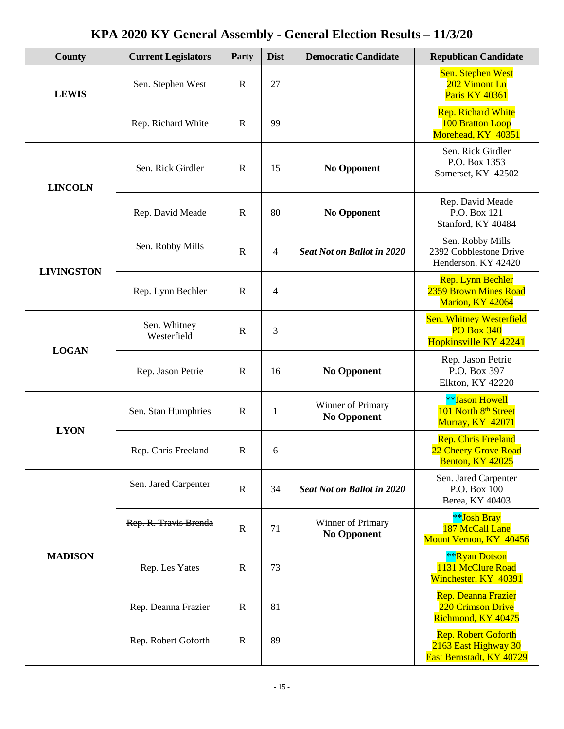| County            | <b>Current Legislators</b>  | Party        | <b>Dist</b> | <b>Democratic Candidate</b>             | <b>Republican Candidate</b>                                                    |
|-------------------|-----------------------------|--------------|-------------|-----------------------------------------|--------------------------------------------------------------------------------|
| <b>LEWIS</b>      | Sen. Stephen West           | $\mathbf R$  | 27          |                                         | Sen. Stephen West<br>202 Vimont Ln<br><b>Paris KY 40361</b>                    |
|                   | Rep. Richard White          | $\mathbf R$  | 99          |                                         | <b>Rep. Richard White</b><br>100 Bratton Loop<br>Morehead, KY 40351            |
| <b>LINCOLN</b>    | Sen. Rick Girdler           | $\mathbf R$  | 15          | <b>No Opponent</b>                      | Sen. Rick Girdler<br>P.O. Box 1353<br>Somerset, KY 42502                       |
|                   | Rep. David Meade            | $\mathbf R$  | 80          | <b>No Opponent</b>                      | Rep. David Meade<br>P.O. Box 121<br>Stanford, KY 40484                         |
| <b>LIVINGSTON</b> | Sen. Robby Mills            | $\mathbf R$  | 4           | <b>Seat Not on Ballot in 2020</b>       | Sen. Robby Mills<br>2392 Cobblestone Drive<br>Henderson, KY 42420              |
|                   | Rep. Lynn Bechler           | $\mathbf R$  | 4           |                                         | Rep. Lynn Bechler<br>2359 Brown Mines Road<br>Marion, KY 42064                 |
| <b>LOGAN</b>      | Sen. Whitney<br>Westerfield | $\mathbf R$  | 3           |                                         | <b>Sen. Whitney Westerfield</b><br><b>PO Box 340</b><br>Hopkinsville KY 42241  |
|                   | Rep. Jason Petrie           | $\mathbf R$  | 16          | <b>No Opponent</b>                      | Rep. Jason Petrie<br>P.O. Box 397<br>Elkton, KY 42220                          |
| <b>LYON</b>       | Sen. Stan Humphries         | $\mathbf R$  | 1           | Winner of Primary<br><b>No Opponent</b> | **Jason Howell<br>101 North 8 <sup>th</sup> Street<br><b>Murray, KY 42071</b>  |
|                   | Rep. Chris Freeland         | $\mathbb{R}$ | 6           |                                         | <b>Rep. Chris Freeland</b><br>22 Cheery Grove Road<br>Benton, KY 42025         |
|                   | Sen. Jared Carpenter        | $\mathbf R$  | 34          | <b>Seat Not on Ballot in 2020</b>       | Sen. Jared Carpenter<br>P.O. Box 100<br>Berea, KY 40403                        |
|                   | Rep. R. Travis Brenda       | $\mathbf R$  | 71          | Winner of Primary<br><b>No Opponent</b> | <b>**Josh Bray</b><br>187 McCall Lane<br>Mount Vernon, KY 40456                |
| <b>MADISON</b>    | Rep. Les Yates              | $\mathbb{R}$ | 73          |                                         | <b>**Ryan Dotson</b><br>1131 McClure Road<br>Winchester, KY 40391              |
|                   | Rep. Deanna Frazier         | $\mathbb{R}$ | 81          |                                         | Rep. Deanna Frazier<br>220 Crimson Drive<br>Richmond, KY 40475                 |
|                   | Rep. Robert Goforth         | $\mathbb{R}$ | 89          |                                         | <b>Rep. Robert Goforth</b><br>2163 East Highway 30<br>East Bernstadt, KY 40729 |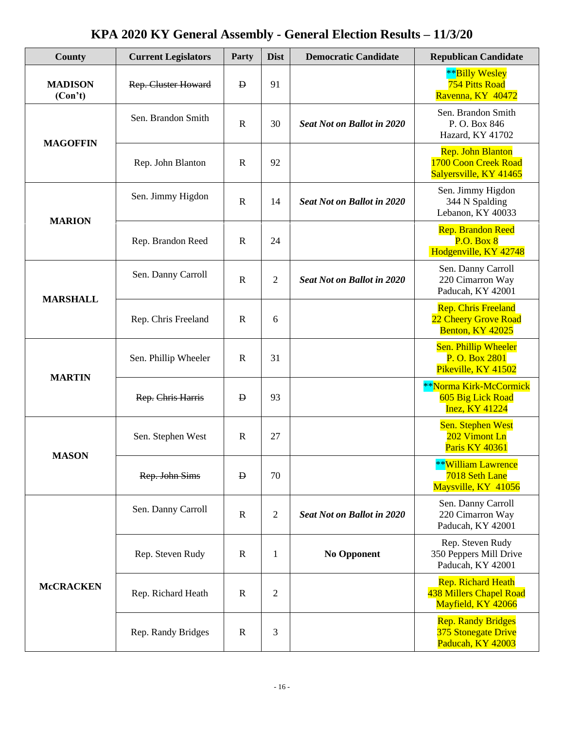| County                    | <b>Current Legislators</b> | Party        | <b>Dist</b>    | <b>Democratic Candidate</b>       | <b>Republican Candidate</b>                                                |
|---------------------------|----------------------------|--------------|----------------|-----------------------------------|----------------------------------------------------------------------------|
| <b>MADISON</b><br>(Con't) | <b>Rep. Cluster Howard</b> | $\mathbf{D}$ | 91             |                                   | **Billy Wesley<br><b>754 Pitts Road</b><br>Ravenna, KY 40472               |
| <b>MAGOFFIN</b>           | Sen. Brandon Smith         | $\mathbf R$  | 30             | <b>Seat Not on Ballot in 2020</b> | Sen. Brandon Smith<br>P.O. Box 846<br>Hazard, KY 41702                     |
|                           | Rep. John Blanton          | $\mathbf R$  | 92             |                                   | <b>Rep. John Blanton</b><br>1700 Coon Creek Road<br>Salyersville, KY 41465 |
| <b>MARION</b>             | Sen. Jimmy Higdon          | $\mathbf R$  | 14             | <b>Seat Not on Ballot in 2020</b> | Sen. Jimmy Higdon<br>344 N Spalding<br>Lebanon, KY 40033                   |
|                           | Rep. Brandon Reed          | $\mathbf R$  | 24             |                                   | <b>Rep. Brandon Reed</b><br>P.O. Box 8<br>Hodgenville, KY 42748            |
| <b>MARSHALL</b>           | Sen. Danny Carroll         | $\mathbf R$  | $\overline{2}$ | <b>Seat Not on Ballot in 2020</b> | Sen. Danny Carroll<br>220 Cimarron Way<br>Paducah, KY 42001                |
|                           | Rep. Chris Freeland        | $\mathbf R$  | 6              |                                   | <b>Rep. Chris Freeland</b><br>22 Cheery Grove Road<br>Benton, KY 42025     |
|                           | Sen. Phillip Wheeler       | $\mathbf R$  | 31             |                                   | Sen. Phillip Wheeler<br>P. O. Box 2801<br>Pikeville, KY 41502              |
| <b>MARTIN</b>             | Rep. Chris Harris          | $\mathbf{p}$ | 93             |                                   | **Norma Kirk-McCormick<br>605 Big Lick Road<br><b>Inez, KY 41224</b>       |
| <b>MASON</b>              | Sen. Stephen West          | $\mathbf R$  | 27             |                                   | <b>Sen. Stephen West</b><br>202 Vimont Ln<br>Paris KY 40361                |
|                           | Rep. John Sims             | $\mathbf{D}$ | 70             |                                   | <b>**William Lawrence</b><br>7018 Seth Lane<br>Maysville, KY 41056         |
|                           | Sen. Danny Carroll         | $\mathbf R$  | $\overline{2}$ | <b>Seat Not on Ballot in 2020</b> | Sen. Danny Carroll<br>220 Cimarron Way<br>Paducah, KY 42001                |
|                           | Rep. Steven Rudy           | $\mathbf R$  | $\mathbf{1}$   | <b>No Opponent</b>                | Rep. Steven Rudy<br>350 Peppers Mill Drive<br>Paducah, KY 42001            |
| <b>McCRACKEN</b>          | Rep. Richard Heath         | $\mathbb{R}$ | $\mathfrak 2$  |                                   | <b>Rep. Richard Heath</b><br>438 Millers Chapel Road<br>Mayfield, KY 42066 |
|                           | Rep. Randy Bridges         | $\mathbf R$  | 3              |                                   | <b>Rep. Randy Bridges</b><br>375 Stonegate Drive<br>Paducah, KY 42003      |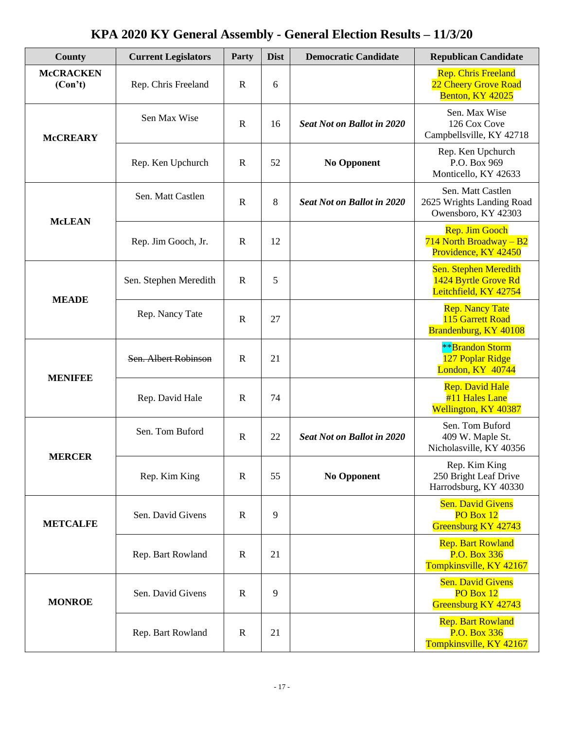| County                      | <b>Current Legislators</b> | Party             | <b>Dist</b>        | <b>Democratic Candidate</b>                                     | <b>Republican Candidate</b>                                                |
|-----------------------------|----------------------------|-------------------|--------------------|-----------------------------------------------------------------|----------------------------------------------------------------------------|
| <b>McCRACKEN</b><br>(Con't) | Rep. Chris Freeland        | $\mathbf R$       | 6                  |                                                                 | <b>Rep. Chris Freeland</b><br>22 Cheery Grove Road<br>Benton, KY 42025     |
| <b>McCREARY</b>             | Sen Max Wise               | $\mathbf R$       | 16                 | <b>Seat Not on Ballot in 2020</b>                               | Sen. Max Wise<br>126 Cox Cove<br>Campbellsville, KY 42718                  |
|                             | Rep. Ken Upchurch          | $\mathbf R$       | 52                 | <b>No Opponent</b>                                              | Rep. Ken Upchurch<br>P.O. Box 969<br>Monticello, KY 42633                  |
| <b>McLEAN</b>               | Sen. Matt Castlen          | $\mathbf R$       | 8                  | <b>Seat Not on Ballot in 2020</b>                               | Sen. Matt Castlen<br>2625 Wrights Landing Road<br>Owensboro, KY 42303      |
|                             | Rep. Jim Gooch, Jr.        | $\mathbf R$       | 12                 |                                                                 | <b>Rep. Jim Gooch</b><br>$714$ North Broadway - B2<br>Providence, KY 42450 |
| <b>MEADE</b>                | Sen. Stephen Meredith      | $\mathbf R$       | 5                  |                                                                 | Sen. Stephen Meredith<br>1424 Byrtle Grove Rd<br>Leitchfield, KY 42754     |
|                             | Rep. Nancy Tate            | $\mathbf R$       | 27                 |                                                                 | <b>Rep. Nancy Tate</b><br>115 Garrett Road<br>Brandenburg, KY 40108        |
| <b>MENIFEE</b>              | Sen. Albert Robinson       | $\mathbb{R}$      | 21                 |                                                                 | <b>**</b> Brandon Storm<br>127 Poplar Ridge<br>London, KY 40744            |
|                             | Rep. David Hale            | $\mathbf R$       | 74                 |                                                                 | Rep. David Hale<br>#11 Hales Lane<br>Wellington, KY 40387                  |
|                             | Sen. Tom Buford            | $\mathbf R$       | 22                 | <b>Seat Not on Ballot in 2020</b>                               | Sen. Tom Buford<br>409 W. Maple St.<br>Nicholasville, KY 40356             |
| <b>MERCER</b>               | Rep. Kim King              | $\mathbf R$<br>55 | <b>No Opponent</b> | Rep. Kim King<br>250 Bright Leaf Drive<br>Harrodsburg, KY 40330 |                                                                            |
| <b>METCALFE</b>             | Sen. David Givens          | R                 | 9                  |                                                                 | <b>Sen. David Givens</b><br>PO Box 12<br>Greensburg KY 42743               |
|                             | Rep. Bart Rowland          | R                 | 21                 |                                                                 | <b>Rep. Bart Rowland</b><br>P.O. Box 336<br>Tompkinsville, KY 42167        |
| <b>MONROE</b>               | Sen. David Givens          | R                 | 9                  |                                                                 | <b>Sen. David Givens</b><br>PO Box 12<br>Greensburg KY 42743               |
|                             | Rep. Bart Rowland          | $\mathbb{R}$      | 21                 |                                                                 | <b>Rep. Bart Rowland</b><br>P.O. Box 336<br>Tompkinsville, KY 42167        |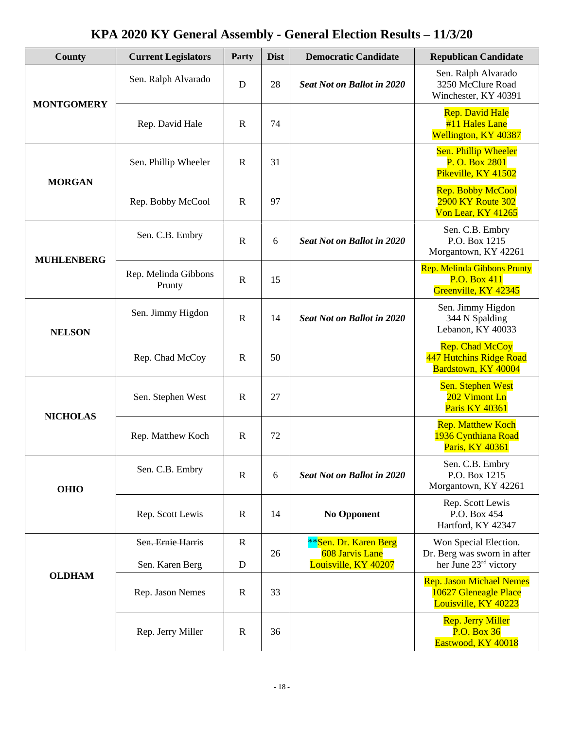| County            | <b>Current Legislators</b>     | Party        | <b>Dist</b> | <b>Democratic Candidate</b>              | <b>Republican Candidate</b>                                                      |
|-------------------|--------------------------------|--------------|-------------|------------------------------------------|----------------------------------------------------------------------------------|
| <b>MONTGOMERY</b> | Sen. Ralph Alvarado            | D            | 28          | <b>Seat Not on Ballot in 2020</b>        | Sen. Ralph Alvarado<br>3250 McClure Road<br>Winchester, KY 40391                 |
|                   | Rep. David Hale                | $\mathbf R$  | 74          |                                          | <b>Rep. David Hale</b><br>#11 Hales Lane<br>Wellington, KY 40387                 |
| <b>MORGAN</b>     | Sen. Phillip Wheeler           | $\mathbf R$  | 31          |                                          | Sen. Phillip Wheeler<br>P. O. Box 2801<br>Pikeville, KY 41502                    |
|                   | Rep. Bobby McCool              | $\mathbf R$  | 97          |                                          | <b>Rep. Bobby McCool</b><br><b>2900 KY Route 302</b><br>Von Lear, KY 41265       |
| <b>MUHLENBERG</b> | Sen. C.B. Embry                | $\mathbf R$  | 6           | <b>Seat Not on Ballot in 2020</b>        | Sen. C.B. Embry<br>P.O. Box 1215<br>Morgantown, KY 42261                         |
|                   | Rep. Melinda Gibbons<br>Prunty | $\mathbf R$  | 15          |                                          | <b>Rep. Melinda Gibbons Prunty</b><br>P.O. Box 411<br>Greenville, KY 42345       |
| <b>NELSON</b>     | Sen. Jimmy Higdon              | $\mathbf R$  | 14          | <b>Seat Not on Ballot in 2020</b>        | Sen. Jimmy Higdon<br>344 N Spalding<br>Lebanon, KY 40033                         |
|                   | Rep. Chad McCoy                | $\mathbf R$  | 50          |                                          | <b>Rep. Chad McCoy</b><br>447 Hutchins Ridge Road<br>Bardstown, KY 40004         |
| <b>NICHOLAS</b>   | Sen. Stephen West              | $\mathbf R$  | 27          |                                          | Sen. Stephen West<br>202 Vimont Ln<br><b>Paris KY 40361</b>                      |
|                   | Rep. Matthew Koch              | $\mathbf R$  | 72          |                                          | <b>Rep. Matthew Koch</b><br>1936 Cynthiana Road<br>Paris, KY 40361               |
| <b>OHIO</b>       | Sen. C.B. Embry                | $\mathbf R$  | 6           | <b>Seat Not on Ballot in 2020</b>        | Sen. C.B. Embry<br>P.O. Box 1215<br>Morgantown, KY 42261                         |
|                   | Rep. Scott Lewis               | $\mathbb{R}$ | 14          | <b>No Opponent</b>                       | Rep. Scott Lewis<br>P.O. Box 454<br>Hartford, KY 42347                           |
|                   | Sen. Ernie Harris              | $\mathbf{R}$ | 26          | **Sen. Dr. Karen Berg<br>608 Jarvis Lane | Won Special Election.                                                            |
|                   | Sen. Karen Berg                | D            |             | Louisville, KY 40207                     | Dr. Berg was sworn in after<br>her June 23rd victory                             |
| <b>OLDHAM</b>     | Rep. Jason Nemes               | $\mathbb{R}$ | 33          |                                          | <b>Rep. Jason Michael Nemes</b><br>10627 Gleneagle Place<br>Louisville, KY 40223 |
|                   | Rep. Jerry Miller              | $\mathbf R$  | 36          |                                          | <b>Rep. Jerry Miller</b><br><b>P.O. Box 36</b><br>Eastwood, KY 40018             |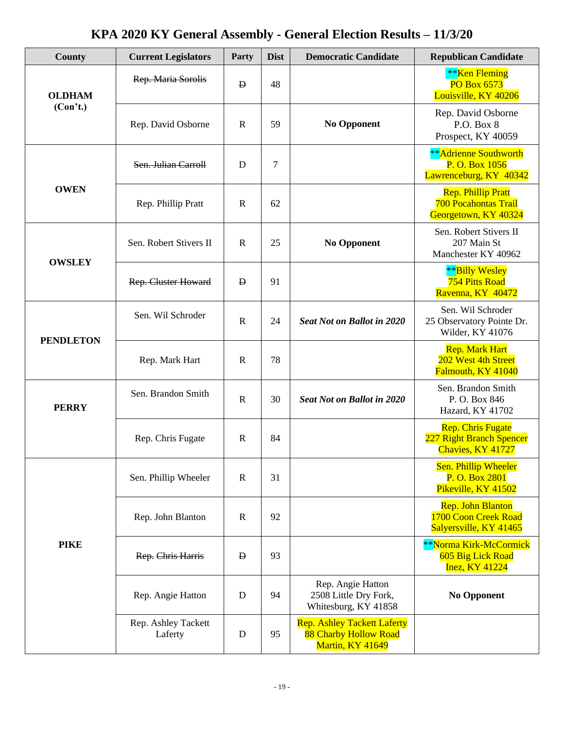| County           | <b>Current Legislators</b>     | Party        | <b>Dist</b> | <b>Democratic Candidate</b>                                                     | <b>Republican Candidate</b>                                                      |
|------------------|--------------------------------|--------------|-------------|---------------------------------------------------------------------------------|----------------------------------------------------------------------------------|
| <b>OLDHAM</b>    | Rep. Maria Sorolis             | $\mathbf{D}$ | 48          |                                                                                 | <b>**</b> Ken Fleming<br><b>PO Box 6573</b><br>Louisville, KY 40206              |
| (Con't.)         | Rep. David Osborne             | $\mathbf R$  | 59          | <b>No Opponent</b>                                                              | Rep. David Osborne<br>P.O. Box 8<br>Prospect, KY 40059                           |
|                  | Sen. Julian Carroll            | D            | 7           |                                                                                 | **Adrienne Southworth<br>P. O. Box 1056<br>Lawrenceburg, KY 40342                |
| <b>OWEN</b>      | Rep. Phillip Pratt             | $\mathbf R$  | 62          |                                                                                 | <b>Rep. Phillip Pratt</b><br><b>700 Pocahontas Trail</b><br>Georgetown, KY 40324 |
| <b>OWSLEY</b>    | Sen. Robert Stivers II         | $\mathbf R$  | 25          | <b>No Opponent</b>                                                              | Sen. Robert Stivers II<br>207 Main St<br>Manchester KY 40962                     |
|                  | <b>Rep. Cluster Howard</b>     | $\mathbf{p}$ | 91          |                                                                                 | **Billy Wesley<br><b>754 Pitts Road</b><br>Ravenna, KY 40472                     |
| <b>PENDLETON</b> | Sen. Wil Schroder              | $\mathbf R$  | 24          | <b>Seat Not on Ballot in 2020</b>                                               | Sen. Wil Schroder<br>25 Observatory Pointe Dr.<br>Wilder, KY 41076               |
|                  | Rep. Mark Hart                 | $\mathbf R$  | 78          |                                                                                 | <b>Rep. Mark Hart</b><br>202 West 4th Street<br>Falmouth, KY 41040               |
| <b>PERRY</b>     | Sen. Brandon Smith             | $\mathbf R$  | 30          | <b>Seat Not on Ballot in 2020</b>                                               | Sen. Brandon Smith<br>P.O. Box 846<br>Hazard, KY 41702                           |
|                  | Rep. Chris Fugate              | $\mathbf R$  | 84          |                                                                                 | <b>Rep. Chris Fugate</b><br>227 Right Branch Spencer<br>Chavies, KY 41727        |
|                  | Sen. Phillip Wheeler           | $\mathbf R$  | 31          |                                                                                 | Sen. Phillip Wheeler<br>P. O. Box 2801<br>Pikeville, KY 41502                    |
|                  | Rep. John Blanton              | $\mathbf R$  | 92          |                                                                                 | <b>Rep. John Blanton</b><br>1700 Coon Creek Road<br>Salyersville, KY 41465       |
| <b>PIKE</b>      | Rep. Chris Harris              | $\mathbf D$  | 93          |                                                                                 | **Norma Kirk-McCormick<br>605 Big Lick Road<br><b>Inez, KY 41224</b>             |
|                  | Rep. Angie Hatton              | D            | 94          | Rep. Angie Hatton<br>2508 Little Dry Fork,<br>Whitesburg, KY 41858              | <b>No Opponent</b>                                                               |
|                  | Rep. Ashley Tackett<br>Laferty | $\mathbf D$  | 95          | <b>Rep. Ashley Tackett Laferty</b><br>88 Charby Hollow Road<br>Martin, KY 41649 |                                                                                  |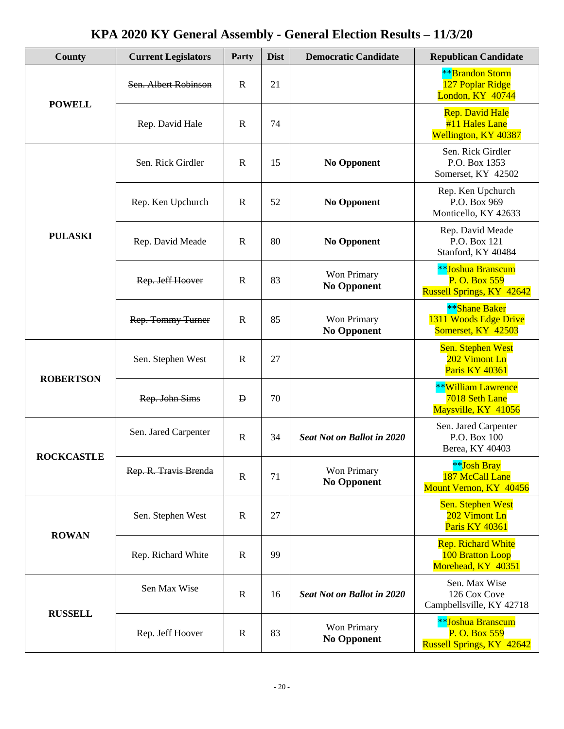| <b>County</b>     | <b>Current Legislators</b> | Party       | <b>Dist</b>                                   | <b>Democratic Candidate</b>       | <b>Republican Candidate</b>                                            |
|-------------------|----------------------------|-------------|-----------------------------------------------|-----------------------------------|------------------------------------------------------------------------|
| <b>POWELL</b>     | Sen. Albert Robinson       | $\mathbf R$ | 21                                            |                                   | <b>**</b> Brandon Storm<br>127 Poplar Ridge<br>London, KY 40744        |
|                   | Rep. David Hale            | $\mathbf R$ | 74                                            |                                   | Rep. David Hale<br>#11 Hales Lane<br>Wellington, KY 40387              |
|                   | Sen. Rick Girdler          | $\mathbf R$ | 15                                            | <b>No Opponent</b>                | Sen. Rick Girdler<br>P.O. Box 1353<br>Somerset, KY 42502               |
|                   | Rep. Ken Upchurch          | $\mathbf R$ | 52                                            | No Opponent                       | Rep. Ken Upchurch<br>P.O. Box 969<br>Monticello, KY 42633              |
| <b>PULASKI</b>    | Rep. David Meade           | $\mathbf R$ | 80                                            | <b>No Opponent</b>                | Rep. David Meade<br>P.O. Box 121<br>Stanford, KY 40484                 |
|                   | Rep. Jeff Hoover           | $\mathbf R$ | 83                                            | Won Primary<br><b>No Opponent</b> | **Joshua Branscum<br>P. O. Box 559<br><b>Russell Springs, KY 42642</b> |
|                   | Rep. Tommy Turner          | $\mathbf R$ | 85                                            | Won Primary<br><b>No Opponent</b> | **Shane Baker<br>1311 Woods Edge Drive<br>Somerset, KY 42503           |
|                   | Sen. Stephen West          | $\mathbf R$ | 27                                            |                                   | <b>Sen. Stephen West</b><br>202 Vimont Ln<br><b>Paris KY 40361</b>     |
| <b>ROBERTSON</b>  | Rep. John Sims             | Ð           | 70                                            |                                   | **William Lawrence<br>7018 Seth Lane<br>Maysville, KY 41056            |
| <b>ROCKCASTLE</b> | Sen. Jared Carpenter       | $\mathbf R$ | 34<br>Won Primary<br>71<br><b>No Opponent</b> | <b>Seat Not on Ballot in 2020</b> | Sen. Jared Carpenter<br>P.O. Box 100<br>Berea, KY 40403                |
|                   | Rep. R. Travis Brenda      | $\mathbf R$ |                                               |                                   | **Josh Bray<br>187 McCall Lane<br>Mount Vernon, KY 40456               |
| <b>ROWAN</b>      | Sen. Stephen West          | $\mathbf R$ | 27                                            |                                   | Sen. Stephen West<br>202 Vimont Ln<br>Paris KY 40361                   |
|                   | Rep. Richard White         | $\mathbf R$ | 99                                            |                                   | <b>Rep. Richard White</b><br>100 Bratton Loop<br>Morehead, KY 40351    |
| <b>RUSSELL</b>    | Sen Max Wise               | R           | 16                                            | <b>Seat Not on Ballot in 2020</b> | Sen. Max Wise<br>126 Cox Cove<br>Campbellsville, KY 42718              |
|                   | Rep. Jeff Hoover           | $\mathbf R$ | 83                                            | Won Primary<br><b>No Opponent</b> | **Joshua Branscum<br>P. O. Box 559<br><b>Russell Springs, KY 42642</b> |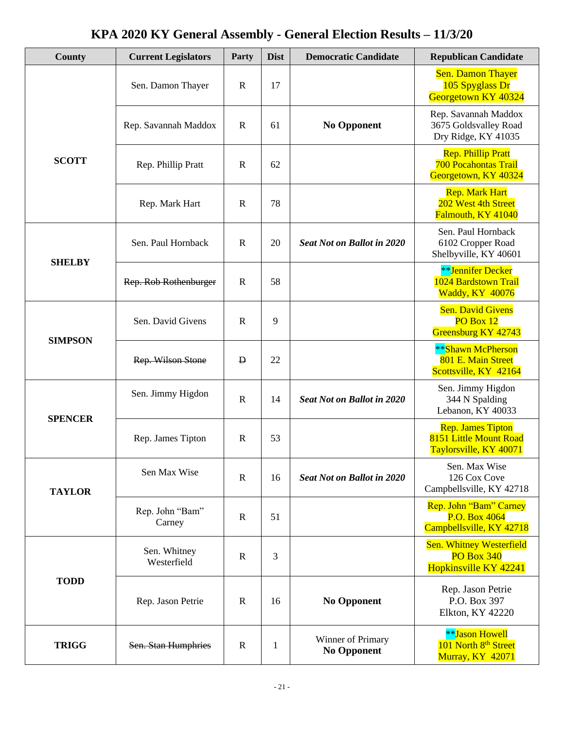| <b>County</b>  | <b>Current Legislators</b>  | Party        | <b>Dist</b>  | <b>Democratic Candidate</b>             | <b>Republican Candidate</b>                                                      |
|----------------|-----------------------------|--------------|--------------|-----------------------------------------|----------------------------------------------------------------------------------|
|                | Sen. Damon Thayer           | $\mathbf R$  | 17           |                                         | <b>Sen. Damon Thayer</b><br>105 Spyglass Dr<br>Georgetown KY 40324               |
|                | Rep. Savannah Maddox        | $\mathbf R$  | 61           | <b>No Opponent</b>                      | Rep. Savannah Maddox<br>3675 Goldsvalley Road<br>Dry Ridge, KY 41035             |
| <b>SCOTT</b>   | Rep. Phillip Pratt          | $\mathbf R$  | 62           |                                         | <b>Rep. Phillip Pratt</b><br><b>700 Pocahontas Trail</b><br>Georgetown, KY 40324 |
|                | Rep. Mark Hart              | $\mathbf R$  | 78           |                                         | <b>Rep. Mark Hart</b><br>202 West 4th Street<br>Falmouth, KY 41040               |
| <b>SHELBY</b>  | Sen. Paul Hornback          | $\mathbf R$  | 20           | <b>Seat Not on Ballot in 2020</b>       | Sen. Paul Hornback<br>6102 Cropper Road<br>Shelbyville, KY 40601                 |
|                | Rep. Rob Rothenburger       | $\mathbf R$  | 58           |                                         | **Jennifer Decker<br>1024 Bardstown Trail<br>Waddy, KY 40076                     |
| <b>SIMPSON</b> | Sen. David Givens           | $\mathbf R$  | 9            |                                         | <b>Sen. David Givens</b><br>PO Box 12<br>Greensburg KY 42743                     |
|                | Rep. Wilson Stone           | $\mathbf{p}$ | 22           |                                         | **Shawn McPherson<br>801 E. Main Street<br>Scottsville, KY 42164                 |
| <b>SPENCER</b> | Sen. Jimmy Higdon           | $\mathbf R$  | 14           | <b>Seat Not on Ballot in 2020</b>       | Sen. Jimmy Higdon<br>344 N Spalding<br>Lebanon, KY 40033                         |
|                | Rep. James Tipton           | $\mathbf R$  | 53           |                                         | <b>Rep. James Tipton</b><br>8151 Little Mount Road<br>Taylorsville, KY 40071     |
| <b>TAYLOR</b>  | Sen Max Wise                | $\mathbf R$  | 16           | <b>Seat Not on Ballot in 2020</b>       | Sen. Max Wise<br>126 Cox Cove<br>Campbellsville, KY 42718                        |
|                | Rep. John "Bam"<br>Carney   | $\mathbf R$  | 51           |                                         | Rep. John "Bam" Carney<br>P.O. Box 4064<br>Campbellsville, KY 42718              |
|                | Sen. Whitney<br>Westerfield | $\mathbf R$  | 3            |                                         | <b>Sen. Whitney Westerfield</b><br><b>PO Box 340</b><br>Hopkinsville KY 42241    |
| <b>TODD</b>    | Rep. Jason Petrie           | R            | 16           | <b>No Opponent</b>                      | Rep. Jason Petrie<br>P.O. Box 397<br>Elkton, KY 42220                            |
| <b>TRIGG</b>   | Sen. Stan Humphries         | $\mathbf R$  | $\mathbf{1}$ | Winner of Primary<br><b>No Opponent</b> | <b>**Jason Howell</b><br>101 North 8 <sup>th</sup> Street<br>Murray, KY 42071    |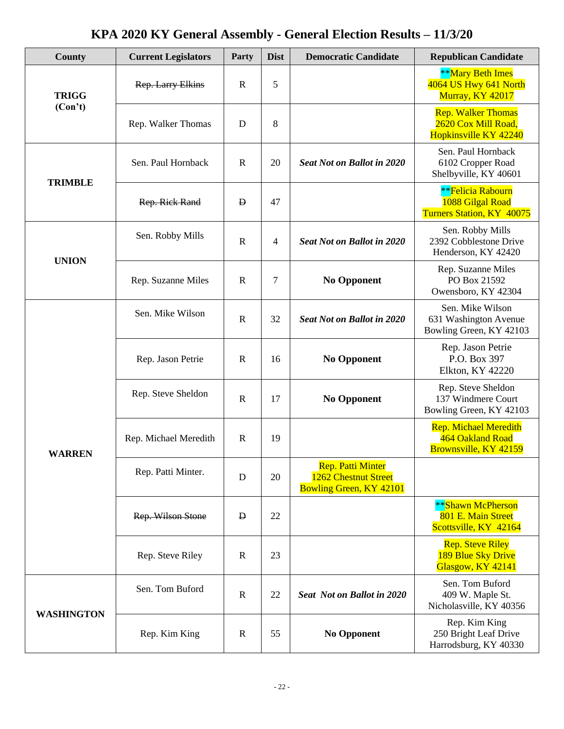| County            | <b>Current Legislators</b> | Party        | <b>Dist</b> | <b>Democratic Candidate</b>                                                        | <b>Republican Candidate</b>                                                 |
|-------------------|----------------------------|--------------|-------------|------------------------------------------------------------------------------------|-----------------------------------------------------------------------------|
| <b>TRIGG</b>      | Rep. Larry Elkins          | $\mathbf R$  | 5           |                                                                                    | <b>**Mary Beth Imes</b><br>4064 US Hwy 641 North<br><b>Murray, KY 42017</b> |
| (Con't)           | Rep. Walker Thomas         | D            | 8           |                                                                                    | <b>Rep. Walker Thomas</b><br>2620 Cox Mill Road,<br>Hopkinsville KY 42240   |
| <b>TRIMBLE</b>    | Sen. Paul Hornback         | $\mathbf R$  | 20          | <b>Seat Not on Ballot in 2020</b>                                                  | Sen. Paul Hornback<br>6102 Cropper Road<br>Shelbyville, KY 40601            |
|                   | Rep. Rick Rand             | $\mathbf{D}$ | 47          |                                                                                    | <b>**Felicia Rabourn</b><br>1088 Gilgal Road<br>Turners Station, KY 40075   |
| <b>UNION</b>      | Sen. Robby Mills           | $\mathbf R$  | 4           | <b>Seat Not on Ballot in 2020</b>                                                  | Sen. Robby Mills<br>2392 Cobblestone Drive<br>Henderson, KY 42420           |
|                   | Rep. Suzanne Miles         | $\mathbf R$  | 7           | <b>No Opponent</b>                                                                 | Rep. Suzanne Miles<br>PO Box 21592<br>Owensboro, KY 42304                   |
|                   | Sen. Mike Wilson           | $\mathbf R$  | 32          | <b>Seat Not on Ballot in 2020</b>                                                  | Sen. Mike Wilson<br>631 Washington Avenue<br>Bowling Green, KY 42103        |
|                   | Rep. Jason Petrie          | $\mathbf R$  | 16          | <b>No Opponent</b>                                                                 | Rep. Jason Petrie<br>P.O. Box 397<br><b>Elkton, KY 42220</b>                |
|                   | Rep. Steve Sheldon         | $\mathbf R$  | 17          | <b>No Opponent</b>                                                                 | Rep. Steve Sheldon<br>137 Windmere Court<br>Bowling Green, KY 42103         |
| <b>WARREN</b>     | Rep. Michael Meredith      | $\mathbf R$  | 19          |                                                                                    | <b>Rep. Michael Meredith</b><br>464 Oakland Road<br>Brownsville, KY 42159   |
|                   | Rep. Patti Minter.         | D            | 20          | <b>Rep. Patti Minter</b><br>1262 Chestnut Street<br><b>Bowling Green, KY 42101</b> |                                                                             |
|                   | Rep. Wilson Stone          | $\mathbf{D}$ | 22          |                                                                                    | **Shawn McPherson<br>801 E. Main Street<br>Scottsville, KY 42164            |
|                   | Rep. Steve Riley           | $\mathbf R$  | 23          |                                                                                    | <b>Rep. Steve Riley</b><br>189 Blue Sky Drive<br>Glasgow, KY 42141          |
| <b>WASHINGTON</b> | Sen. Tom Buford            | $\mathbb{R}$ | 22          | <b>Seat Not on Ballot in 2020</b>                                                  | Sen. Tom Buford<br>409 W. Maple St.<br>Nicholasville, KY 40356              |
|                   | Rep. Kim King              | $\mathbb{R}$ | 55          | <b>No Opponent</b>                                                                 | Rep. Kim King<br>250 Bright Leaf Drive<br>Harrodsburg, KY 40330             |